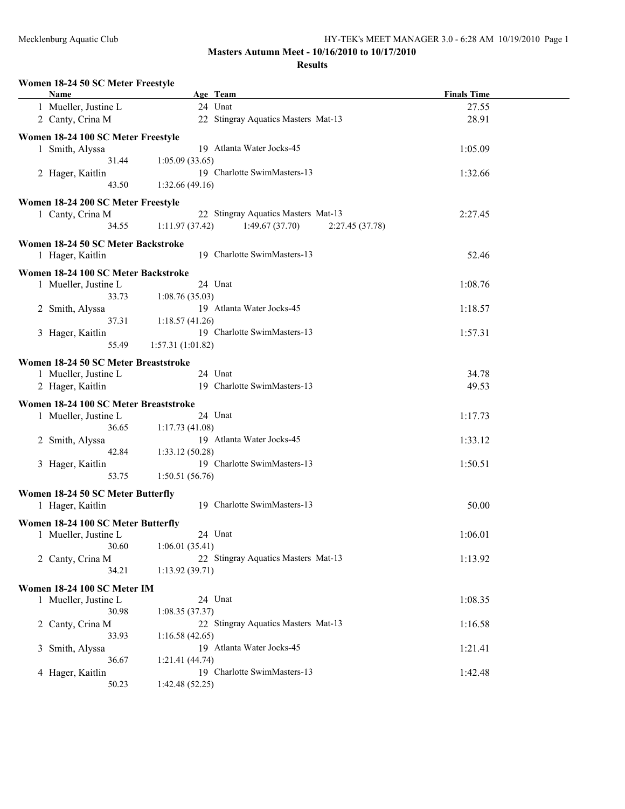| Women 18-24 50 SC Meter Freestyle<br>Name | Age Team                                            | <b>Finals Time</b> |
|-------------------------------------------|-----------------------------------------------------|--------------------|
| 1 Mueller, Justine L                      | 24 Unat                                             | 27.55              |
| 2 Canty, Crina M                          | 22 Stingray Aquatics Masters Mat-13                 | 28.91              |
|                                           |                                                     |                    |
| Women 18-24 100 SC Meter Freestyle        |                                                     |                    |
| 1 Smith, Alyssa                           | 19 Atlanta Water Jocks-45                           | 1:05.09            |
| 31.44                                     | 1:05.09(33.65)                                      |                    |
| 2 Hager, Kaitlin                          | 19 Charlotte SwimMasters-13                         | 1:32.66            |
| 43.50                                     | 1:32.66(49.16)                                      |                    |
| Women 18-24 200 SC Meter Freestyle        |                                                     |                    |
| 1 Canty, Crina M                          | 22 Stingray Aquatics Masters Mat-13                 | 2:27.45            |
| 34.55                                     | 1:11.97(37.42)<br>1:49.67(37.70)<br>2:27.45 (37.78) |                    |
|                                           |                                                     |                    |
| Women 18-24 50 SC Meter Backstroke        |                                                     |                    |
| 1 Hager, Kaitlin                          | 19 Charlotte SwimMasters-13                         | 52.46              |
| Women 18-24 100 SC Meter Backstroke       |                                                     |                    |
| 1 Mueller, Justine L                      | 24 Unat                                             | 1:08.76            |
| 33.73                                     | 1:08.76(35.03)                                      |                    |
| 2 Smith, Alyssa                           | 19 Atlanta Water Jocks-45                           | 1:18.57            |
| 37.31                                     | 1:18.57(41.26)                                      |                    |
| 3 Hager, Kaitlin                          | 19 Charlotte SwimMasters-13                         | 1:57.31            |
| 55.49                                     | 1:57.31(1:01.82)                                    |                    |
|                                           |                                                     |                    |
| Women 18-24 50 SC Meter Breaststroke      |                                                     |                    |
| 1 Mueller, Justine L                      | 24 Unat                                             | 34.78              |
| 2 Hager, Kaitlin                          | 19 Charlotte SwimMasters-13                         | 49.53              |
| Women 18-24 100 SC Meter Breaststroke     |                                                     |                    |
| 1 Mueller, Justine L                      | 24 Unat                                             | 1:17.73            |
| 36.65                                     | 1:17.73(41.08)                                      |                    |
| 2 Smith, Alyssa                           | 19 Atlanta Water Jocks-45                           | 1:33.12            |
| 42.84                                     | 1:33.12(50.28)                                      |                    |
| 3 Hager, Kaitlin                          | 19 Charlotte SwimMasters-13                         | 1:50.51            |
| 53.75                                     | 1:50.51(56.76)                                      |                    |
|                                           |                                                     |                    |
| Women 18-24 50 SC Meter Butterfly         |                                                     |                    |
| 1 Hager, Kaitlin                          | 19 Charlotte SwimMasters-13                         | 50.00              |
| Women 18-24 100 SC Meter Butterfly        |                                                     |                    |
| 1 Mueller, Justine L                      | 24 Unat                                             | 1:06.01            |
| 30.60                                     | 1:06.01(35.41)                                      |                    |
| 2 Canty, Crina M                          | 22 Stingray Aquatics Masters Mat-13                 | 1:13.92            |
| 34.21                                     | 1:13.92(39.71)                                      |                    |
|                                           |                                                     |                    |
| Women 18-24 100 SC Meter IM               |                                                     |                    |
| 1 Mueller, Justine L                      | 24 Unat                                             | 1:08.35            |
| 30.98                                     | 1:08.35(37.37)                                      |                    |
| 2 Canty, Crina M                          | 22 Stingray Aquatics Masters Mat-13                 | 1:16.58            |
| 33.93                                     | 1:16.58(42.65)                                      |                    |
| 3 Smith, Alyssa                           | 19 Atlanta Water Jocks-45                           | 1:21.41            |
| 36.67                                     | 1:21.41(44.74)                                      |                    |
| 4 Hager, Kaitlin                          | 19 Charlotte SwimMasters-13                         | 1:42.48            |
| 50.23                                     | 1:42.48(52.25)                                      |                    |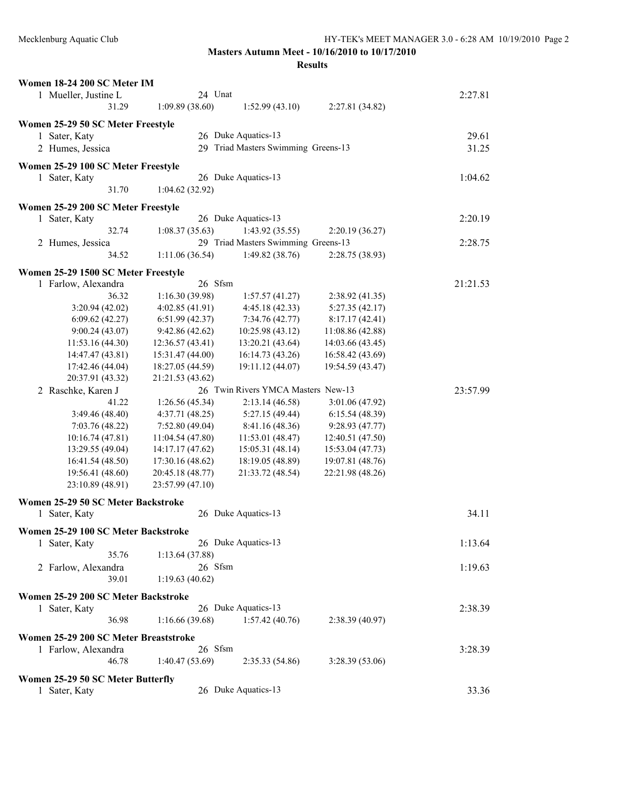| Women 18-24 200 SC Meter IM           |                  |                                     |                  |          |
|---------------------------------------|------------------|-------------------------------------|------------------|----------|
| 1 Mueller, Justine L                  | 24 Unat          |                                     |                  | 2:27.81  |
| 31.29                                 | 1:09.89(38.60)   | 1:52.99(43.10)                      | 2:27.81 (34.82)  |          |
| Women 25-29 50 SC Meter Freestyle     |                  |                                     |                  |          |
| 1 Sater, Katy                         |                  | 26 Duke Aquatics-13                 |                  | 29.61    |
| 2 Humes, Jessica                      |                  | 29 Triad Masters Swimming Greens-13 |                  | 31.25    |
|                                       |                  |                                     |                  |          |
| Women 25-29 100 SC Meter Freestyle    |                  |                                     |                  |          |
| 1 Sater, Katy                         |                  | 26 Duke Aquatics-13                 |                  | 1:04.62  |
| 31.70                                 | 1:04.62(32.92)   |                                     |                  |          |
| Women 25-29 200 SC Meter Freestyle    |                  |                                     |                  |          |
| 1 Sater, Katy                         |                  | 26 Duke Aquatics-13                 |                  | 2:20.19  |
| 32.74                                 | 1:08.37(35.63)   | 1:43.92(35.55)                      | 2:20.19(36.27)   |          |
|                                       |                  | 29 Triad Masters Swimming Greens-13 |                  | 2:28.75  |
| 2 Humes, Jessica<br>34.52             | 1:11.06(36.54)   | 1:49.82(38.76)                      |                  |          |
|                                       |                  |                                     | 2:28.75 (38.93)  |          |
| Women 25-29 1500 SC Meter Freestyle   |                  |                                     |                  |          |
| 1 Farlow, Alexandra                   | 26 Sfsm          |                                     |                  | 21:21.53 |
| 36.32                                 | 1:16.30(39.98)   | 1:57.57(41.27)                      | 2:38.92(41.35)   |          |
| 3:20.94(42.02)                        | 4:02.85(41.91)   | 4:45.18(42.33)                      | 5:27.35(42.17)   |          |
| 6:09.62(42.27)                        | 6:51.99(42.37)   | 7:34.76 (42.77)                     | 8:17.17(42.41)   |          |
| 9:00.24(43.07)                        | 9:42.86 (42.62)  | 10:25.98 (43.12)                    | 11:08.86 (42.88) |          |
| 11:53.16 (44.30)                      | 12:36.57 (43.41) | 13:20.21 (43.64)                    | 14:03.66 (43.45) |          |
| 14:47.47 (43.81)                      | 15:31.47 (44.00) | 16:14.73 (43.26)                    | 16:58.42 (43.69) |          |
| 17:42.46 (44.04)                      | 18:27.05 (44.59) | 19:11.12 (44.07)                    | 19:54.59 (43.47) |          |
| 20:37.91 (43.32)                      | 21:21.53 (43.62) |                                     |                  |          |
| 2 Raschke, Karen J                    |                  | 26 Twin Rivers YMCA Masters New-13  |                  | 23:57.99 |
| 41.22                                 | 1:26.56(45.34)   | 2:13.14(46.58)                      | 3:01.06 (47.92)  |          |
| 3:49.46(48.40)                        | 4:37.71(48.25)   | 5:27.15 (49.44)                     | 6:15.54(48.39)   |          |
| 7:03.76(48.22)                        | 7:52.80(49.04)   | 8:41.16 (48.36)                     | 9:28.93 (47.77)  |          |
| 10:16.74(47.81)                       | 11:04.54(47.80)  | 11:53.01 (48.47)                    | 12:40.51 (47.50) |          |
| 13:29.55 (49.04)                      | 14:17.17 (47.62) | 15:05.31 (48.14)                    | 15:53.04 (47.73) |          |
| 16:41.54 (48.50)                      | 17:30.16 (48.62) | 18:19.05 (48.89)                    | 19:07.81 (48.76) |          |
| 19:56.41 (48.60)                      | 20:45.18 (48.77) | 21:33.72 (48.54)                    | 22:21.98 (48.26) |          |
| 23:10.89 (48.91)                      | 23:57.99 (47.10) |                                     |                  |          |
|                                       |                  |                                     |                  |          |
| Women 25-29 50 SC Meter Backstroke    |                  |                                     |                  |          |
| 1 Sater, Katy                         |                  | 26 Duke Aquatics-13                 |                  | 34.11    |
| Women 25-29 100 SC Meter Backstroke   |                  |                                     |                  |          |
| 1 Sater, Katy                         |                  | 26 Duke Aquatics-13                 |                  | 1:13.64  |
| 35.76                                 | 1:13.64(37.88)   |                                     |                  |          |
|                                       | 26 Sfsm          |                                     |                  |          |
| 2 Farlow, Alexandra                   |                  |                                     |                  | 1:19.63  |
| 39.01                                 | 1:19.63(40.62)   |                                     |                  |          |
| Women 25-29 200 SC Meter Backstroke   |                  |                                     |                  |          |
| 1 Sater, Katy                         |                  | 26 Duke Aquatics-13                 |                  | 2:38.39  |
| 36.98                                 | 1:16.66 (39.68)  | 1:57.42(40.76)                      | 2:38.39(40.97)   |          |
|                                       |                  |                                     |                  |          |
| Women 25-29 200 SC Meter Breaststroke | 26 Sfsm          |                                     |                  |          |
| 1 Farlow, Alexandra                   |                  |                                     |                  | 3:28.39  |
| 46.78                                 | 1:40.47(53.69)   | 2:35.33(54.86)                      | 3:28.39(53.06)   |          |
| Women 25-29 50 SC Meter Butterfly     |                  |                                     |                  |          |
| 1 Sater, Katy                         |                  | 26 Duke Aquatics-13                 |                  | 33.36    |
|                                       |                  |                                     |                  |          |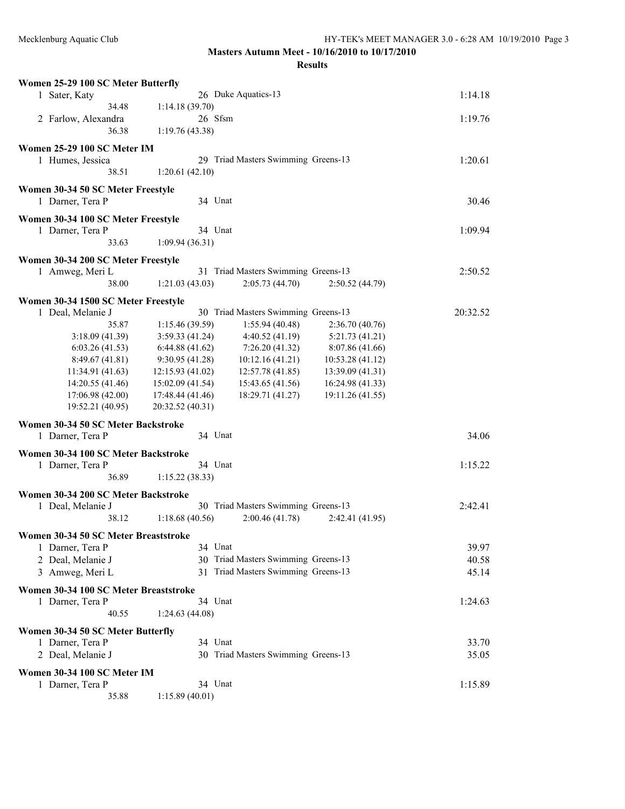| Women 25-29 100 SC Meter Butterfly    |                                                          |          |
|---------------------------------------|----------------------------------------------------------|----------|
| 1 Sater, Katy                         | 26 Duke Aquatics-13                                      | 1:14.18  |
| 34.48                                 | 1:14.18(39.70)                                           |          |
| 2 Farlow, Alexandra                   | 26 Sfsm                                                  | 1:19.76  |
| 36.38                                 | 1:19.76(43.38)                                           |          |
|                                       |                                                          |          |
| Women 25-29 100 SC Meter IM           |                                                          |          |
| 1 Humes, Jessica                      | 29 Triad Masters Swimming Greens-13                      | 1:20.61  |
| 38.51                                 | 1:20.61(42.10)                                           |          |
| Women 30-34 50 SC Meter Freestyle     |                                                          |          |
| 1 Darner, Tera P                      | 34 Unat                                                  | 30.46    |
| Women 30-34 100 SC Meter Freestyle    |                                                          |          |
| 1 Darner, Tera P                      | 34 Unat                                                  | 1:09.94  |
| 33.63                                 | 1:09.94(36.31)                                           |          |
|                                       |                                                          |          |
| Women 30-34 200 SC Meter Freestyle    |                                                          |          |
| 1 Amweg, Meri L                       | 31 Triad Masters Swimming Greens-13                      | 2:50.52  |
| 38.00                                 | 2:05.73(44.70)<br>1:21.03(43.03)<br>2:50.52(44.79)       |          |
| Women 30-34 1500 SC Meter Freestyle   |                                                          |          |
| 1 Deal, Melanie J                     | 30 Triad Masters Swimming Greens-13                      | 20:32.52 |
| 35.87                                 | 1:15.46 (39.59)<br>1:55.94(40.48)<br>2:36.70(40.76)      |          |
| 3:18.09(41.39)                        | 3:59.33(41.24)<br>4:40.52(41.19)<br>5:21.73(41.21)       |          |
| 6:03.26(41.53)                        | 6:44.88(41.62)<br>7:26.20(41.32)<br>8:07.86 (41.66)      |          |
| 8:49.67(41.81)                        | 10:12.16(41.21)<br>9:30.95(41.28)<br>10:53.28(41.12)     |          |
| 11:34.91 (41.63)                      | 12:15.93 (41.02)<br>12:57.78 (41.85)<br>13:39.09 (41.31) |          |
| 14:20.55 (41.46)                      | 15:02.09 (41.54)<br>15:43.65 (41.56)<br>16:24.98 (41.33) |          |
| 17:06.98 (42.00)                      | 19:11.26 (41.55)<br>17:48.44 (41.46)<br>18:29.71 (41.27) |          |
| 19:52.21 (40.95)                      | 20:32.52 (40.31)                                         |          |
| Women 30-34 50 SC Meter Backstroke    |                                                          |          |
| 1 Darner, Tera P                      | 34 Unat                                                  | 34.06    |
|                                       |                                                          |          |
| Women 30-34 100 SC Meter Backstroke   |                                                          |          |
| 1 Darner, Tera P                      | 34 Unat                                                  | 1:15.22  |
| 36.89                                 | 1:15.22(38.33)                                           |          |
| Women 30-34 200 SC Meter Backstroke   |                                                          |          |
| 1 Deal, Melanie J                     | 30 Triad Masters Swimming Greens-13                      | 2:42.41  |
| 38.12                                 | 2:00.46(41.78)<br>1:18.68(40.56)<br>2:42.41 (41.95)      |          |
| Women 30-34 50 SC Meter Breaststroke  |                                                          |          |
| 1 Darner, Tera P                      | 34 Unat                                                  | 39.97    |
| 2 Deal, Melanie J                     | 30 Triad Masters Swimming Greens-13                      | 40.58    |
|                                       | 31 Triad Masters Swimming Greens-13                      |          |
| 3 Amweg, Meri L                       |                                                          | 45.14    |
| Women 30-34 100 SC Meter Breaststroke |                                                          |          |
| 1 Darner, Tera P                      | 34 Unat                                                  | 1:24.63  |
| 40.55                                 | 1:24.63(44.08)                                           |          |
| Women 30-34 50 SC Meter Butterfly     |                                                          |          |
| 1 Darner, Tera P                      | 34 Unat                                                  | 33.70    |
| 2 Deal, Melanie J                     | 30 Triad Masters Swimming Greens-13                      | 35.05    |
|                                       |                                                          |          |
| Women 30-34 100 SC Meter IM           |                                                          |          |
| 1 Darner, Tera P                      | 34 Unat                                                  | 1:15.89  |
| 35.88                                 | 1:15.89(40.01)                                           |          |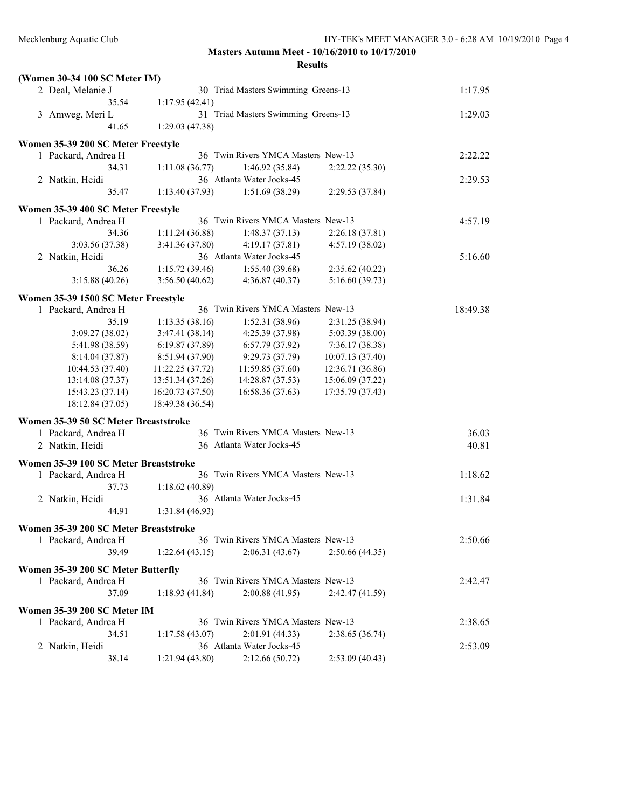| (Women 30-34 100 SC Meter IM)         |                  |                                     |                  |          |
|---------------------------------------|------------------|-------------------------------------|------------------|----------|
| 2 Deal, Melanie J                     |                  | 30 Triad Masters Swimming Greens-13 |                  | 1:17.95  |
| 35.54                                 | 1:17.95(42.41)   |                                     |                  |          |
| 3 Amweg, Meri L                       |                  | 31 Triad Masters Swimming Greens-13 |                  | 1:29.03  |
| 41.65                                 | 1:29.03(47.38)   |                                     |                  |          |
| Women 35-39 200 SC Meter Freestyle    |                  |                                     |                  |          |
| 1 Packard, Andrea H                   |                  | 36 Twin Rivers YMCA Masters New-13  |                  | 2:22.22  |
| 34.31                                 | 1:11.08(36.77)   | 1:46.92(35.84)                      | 2:22.22(35.30)   |          |
| 2 Natkin, Heidi                       |                  | 36 Atlanta Water Jocks-45           |                  | 2:29.53  |
| 35.47                                 | 1:13.40(37.93)   | 1:51.69(38.29)                      | 2:29.53 (37.84)  |          |
| Women 35-39 400 SC Meter Freestyle    |                  |                                     |                  |          |
| 1 Packard, Andrea H                   |                  | 36 Twin Rivers YMCA Masters New-13  |                  | 4:57.19  |
| 34.36                                 | 1:11.24(36.88)   | 1:48.37(37.13)                      | 2:26.18(37.81)   |          |
| 3:03.56 (37.38)                       | 3:41.36 (37.80)  | 4:19.17(37.81)                      | 4:57.19 (38.02)  |          |
| 2 Natkin, Heidi                       |                  | 36 Atlanta Water Jocks-45           |                  | 5:16.60  |
| 36.26                                 | 1:15.72(39.46)   | 1:55.40(39.68)                      | 2:35.62(40.22)   |          |
| 3:15.88(40.26)                        | 3:56.50(40.62)   | 4:36.87(40.37)                      | 5:16.60(39.73)   |          |
| Women 35-39 1500 SC Meter Freestyle   |                  |                                     |                  |          |
| 1 Packard, Andrea H                   |                  | 36 Twin Rivers YMCA Masters New-13  |                  | 18:49.38 |
| 35.19                                 | 1:13.35(38.16)   | 1:52.31(38.96)                      | 2:31.25 (38.94)  |          |
| 3:09.27 (38.02)                       | 3:47.41(38.14)   | 4:25.39 (37.98)                     | 5:03.39 (38.00)  |          |
| 5:41.98 (38.59)                       | 6:19.87(37.89)   | 6:57.79(37.92)                      | 7:36.17(38.38)   |          |
| 8:14.04(37.87)                        | 8:51.94 (37.90)  | 9:29.73 (37.79)                     | 10:07.13(37.40)  |          |
| 10:44.53 (37.40)                      | 11:22.25 (37.72) | 11:59.85 (37.60)                    | 12:36.71 (36.86) |          |
| 13:14.08 (37.37)                      | 13:51.34 (37.26) | 14:28.87 (37.53)                    | 15:06.09 (37.22) |          |
| 15:43.23 (37.14)                      | 16:20.73 (37.50) | 16:58.36 (37.63)                    | 17:35.79 (37.43) |          |
| 18:12.84 (37.05)                      | 18:49.38 (36.54) |                                     |                  |          |
| Women 35-39 50 SC Meter Breaststroke  |                  |                                     |                  |          |
| 1 Packard, Andrea H                   |                  | 36 Twin Rivers YMCA Masters New-13  |                  | 36.03    |
| 2 Natkin, Heidi                       |                  | 36 Atlanta Water Jocks-45           |                  | 40.81    |
| Women 35-39 100 SC Meter Breaststroke |                  |                                     |                  |          |
| 1 Packard, Andrea H                   |                  | 36 Twin Rivers YMCA Masters New-13  |                  | 1:18.62  |
| 37.73                                 | 1:18.62(40.89)   |                                     |                  |          |
| 2 Natkin, Heidi                       |                  | 36 Atlanta Water Jocks-45           |                  | 1:31.84  |
| 44.91                                 | 1:31.84(46.93)   |                                     |                  |          |
| Women 35-39 200 SC Meter Breaststroke |                  |                                     |                  |          |
| 1 Packard, Andrea H                   |                  | 36 Twin Rivers YMCA Masters New-13  |                  | 2:50.66  |
| 39.49                                 | 1:22.64(43.15)   | 2:06.31(43.67)                      | 2:50.66 (44.35)  |          |
|                                       |                  |                                     |                  |          |
| Women 35-39 200 SC Meter Butterfly    |                  |                                     |                  |          |
| 1 Packard, Andrea H                   |                  | 36 Twin Rivers YMCA Masters New-13  |                  | 2:42.47  |
| 37.09                                 | 1:18.93(41.84)   | 2:00.88(41.95)                      | 2:42.47 (41.59)  |          |
| Women 35-39 200 SC Meter IM           |                  |                                     |                  |          |
| 1 Packard, Andrea H                   |                  | 36 Twin Rivers YMCA Masters New-13  |                  | 2:38.65  |
| 34.51                                 | 1:17.58(43.07)   | 2:01.91 (44.33)                     | 2:38.65(36.74)   |          |
| 2 Natkin, Heidi                       |                  | 36 Atlanta Water Jocks-45           |                  | 2:53.09  |
| 38.14                                 | 1:21.94(43.80)   | 2:12.66(50.72)                      | 2:53.09(40.43)   |          |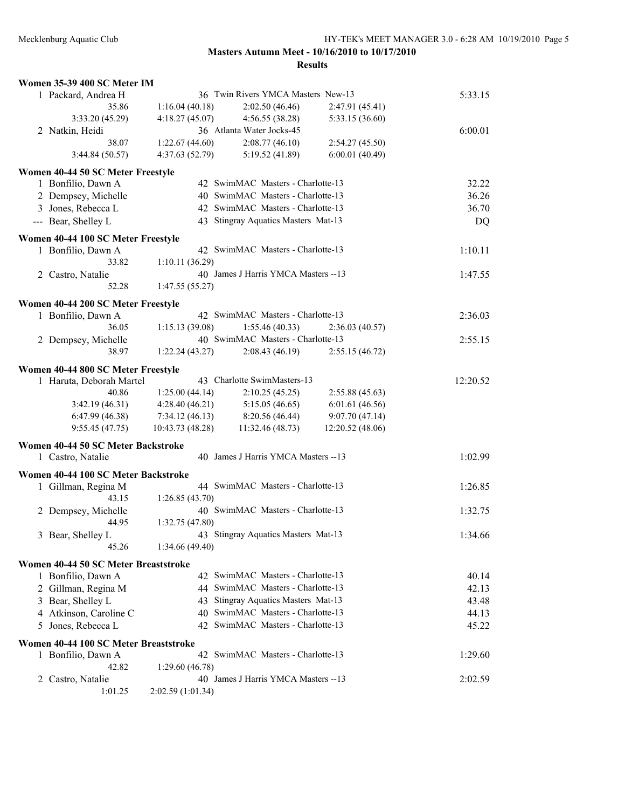| Women 35-39 400 SC Meter IM           |                  |                                                                          |                 |          |
|---------------------------------------|------------------|--------------------------------------------------------------------------|-----------------|----------|
| 1 Packard, Andrea H                   |                  | 36 Twin Rivers YMCA Masters New-13                                       |                 | 5:33.15  |
| 35.86                                 | 1:16.04(40.18)   | 2:02.50(46.46)                                                           | 2:47.91(45.41)  |          |
| 3:33.20 (45.29)                       | 4:18.27(45.07)   | 4:56.55 (38.28)                                                          | 5:33.15 (36.60) |          |
| 2 Natkin, Heidi                       |                  | 36 Atlanta Water Jocks-45                                                |                 | 6:00.01  |
| 38.07                                 | 1:22.67(44.60)   | 2:08.77(46.10)                                                           | 2:54.27(45.50)  |          |
| 3:44.84(50.57)                        | 4:37.63 (52.79)  | 5:19.52 (41.89)                                                          | 6:00.01(40.49)  |          |
| Women 40-44 50 SC Meter Freestyle     |                  |                                                                          |                 |          |
| 1 Bonfilio, Dawn A                    |                  | 42 SwimMAC Masters - Charlotte-13                                        |                 | 32.22    |
| 2 Dempsey, Michelle                   |                  | 40 SwimMAC Masters - Charlotte-13                                        |                 | 36.26    |
| 3 Jones, Rebecca L                    |                  | 42 SwimMAC Masters - Charlotte-13                                        |                 | 36.70    |
| --- Bear, Shelley L                   |                  | 43 Stingray Aquatics Masters Mat-13                                      |                 | DQ       |
|                                       |                  |                                                                          |                 |          |
| Women 40-44 100 SC Meter Freestyle    |                  |                                                                          |                 |          |
| 1 Bonfilio, Dawn A                    |                  | 42 SwimMAC Masters - Charlotte-13                                        |                 | 1:10.11  |
| 33.82                                 | 1:10.11(36.29)   |                                                                          |                 |          |
| 2 Castro, Natalie                     |                  | 40 James J Harris YMCA Masters -- 13                                     |                 | 1:47.55  |
| 52.28                                 | 1:47.55(55.27)   |                                                                          |                 |          |
| Women 40-44 200 SC Meter Freestyle    |                  |                                                                          |                 |          |
| 1 Bonfilio, Dawn A                    |                  | 42 SwimMAC Masters - Charlotte-13                                        |                 | 2:36.03  |
| 36.05                                 | 1:15.13(39.08)   | 1:55.46(40.33)                                                           | 2:36.03(40.57)  |          |
| 2 Dempsey, Michelle                   |                  | 40 SwimMAC Masters - Charlotte-13                                        |                 | 2:55.15  |
| 38.97                                 | 1:22.24(43.27)   | 2:08.43(46.19)                                                           | 2:55.15(46.72)  |          |
| Women 40-44 800 SC Meter Freestyle    |                  |                                                                          |                 |          |
| 1 Haruta, Deborah Martel              |                  | 43 Charlotte SwimMasters-13                                              |                 | 12:20.52 |
| 40.86                                 | 1:25.00(44.14)   | 2:10.25(45.25)                                                           | 2:55.88(45.63)  |          |
| 3:42.19(46.31)                        | 4:28.40(46.21)   | 5:15.05(46.65)                                                           | 6:01.61(46.56)  |          |
| 6:47.99(46.38)                        | 7:34.12(46.13)   | 8:20.56 (46.44)                                                          | 9:07.70(47.14)  |          |
| 9:55.45(47.75)                        | 10:43.73 (48.28) | 11:32.46 (48.73)                                                         | 12:20.52(48.06) |          |
|                                       |                  |                                                                          |                 |          |
| Women 40-44 50 SC Meter Backstroke    |                  |                                                                          |                 |          |
| 1 Castro, Natalie                     |                  | 40 James J Harris YMCA Masters -- 13                                     |                 | 1:02.99  |
| Women 40-44 100 SC Meter Backstroke   |                  |                                                                          |                 |          |
| 1 Gillman, Regina M                   |                  | 44 SwimMAC Masters - Charlotte-13                                        |                 | 1:26.85  |
| 43.15                                 | 1:26.85(43.70)   |                                                                          |                 |          |
| 2 Dempsey, Michelle                   |                  | 40 SwimMAC Masters - Charlotte-13                                        |                 | 1:32.75  |
| 44.95                                 | 1:32.75 (47.80)  |                                                                          |                 |          |
| 3 Bear, Shelley L                     |                  | 43 Stingray Aquatics Masters Mat-13                                      |                 | 1:34.66  |
| 45.26                                 | 1:34.66(49.40)   |                                                                          |                 |          |
| Women 40-44 50 SC Meter Breaststroke  |                  |                                                                          |                 |          |
| 1 Bonfilio, Dawn A                    |                  | 42 SwimMAC Masters - Charlotte-13                                        |                 | 40.14    |
|                                       |                  | 44 SwimMAC Masters - Charlotte-13                                        |                 | 42.13    |
| 2 Gillman, Regina M                   |                  |                                                                          |                 |          |
| 3 Bear, Shelley L                     |                  | 43 Stingray Aquatics Masters Mat-13<br>40 SwimMAC Masters - Charlotte-13 |                 | 43.48    |
| 4 Atkinson, Caroline C                |                  |                                                                          |                 | 44.13    |
| 5 Jones, Rebecca L                    |                  | 42 SwimMAC Masters - Charlotte-13                                        |                 | 45.22    |
| Women 40-44 100 SC Meter Breaststroke |                  |                                                                          |                 |          |
| 1 Bonfilio, Dawn A                    |                  | 42 SwimMAC Masters - Charlotte-13                                        |                 | 1:29.60  |
| 42.82                                 | 1:29.60(46.78)   |                                                                          |                 |          |
| 2 Castro, Natalie                     |                  | 40 James J Harris YMCA Masters --13                                      |                 | 2:02.59  |
| 1:01.25                               | 2:02.59(1:01.34) |                                                                          |                 |          |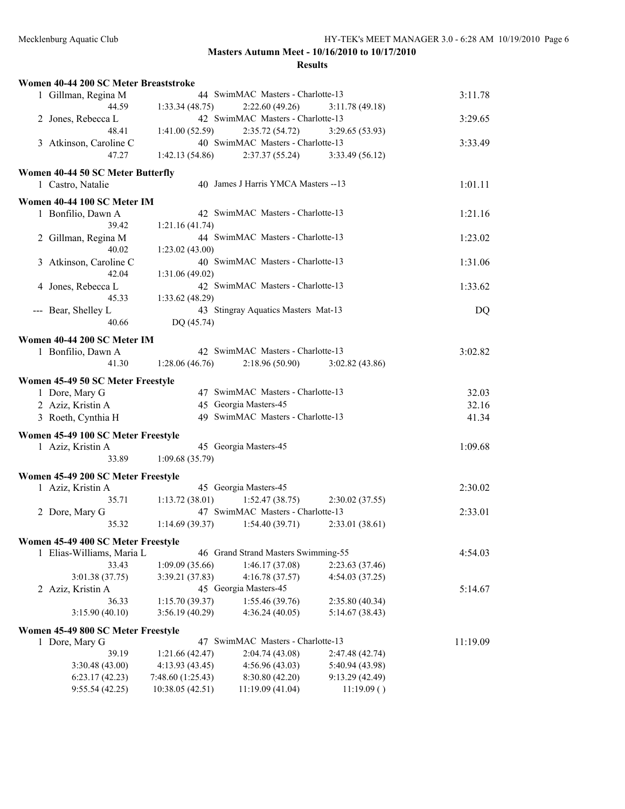| Women 40-44 200 SC Meter Breaststroke                   |                   |                                     |                 |          |
|---------------------------------------------------------|-------------------|-------------------------------------|-----------------|----------|
| 1 Gillman, Regina M                                     |                   | 44 SwimMAC Masters - Charlotte-13   |                 | 3:11.78  |
| 44.59                                                   | 1:33.34(48.75)    | 2:22.60(49.26)                      | 3:11.78(49.18)  |          |
| 2 Jones, Rebecca L                                      |                   | 42 SwimMAC Masters - Charlotte-13   |                 | 3:29.65  |
| 48.41                                                   | 1:41.00(52.59)    | 2:35.72(54.72)                      | 3:29.65(53.93)  |          |
| 3 Atkinson, Caroline C                                  |                   | 40 SwimMAC Masters - Charlotte-13   |                 | 3:33.49  |
| 47.27                                                   | 1:42.13(54.86)    | 2:37.37 (55.24)                     | 3:33.49(56.12)  |          |
| Women 40-44 50 SC Meter Butterfly                       |                   |                                     |                 |          |
| 1 Castro, Natalie                                       |                   | 40 James J Harris YMCA Masters --13 |                 | 1:01.11  |
|                                                         |                   |                                     |                 |          |
| Women 40-44 100 SC Meter IM                             |                   |                                     |                 |          |
| 1 Bonfilio, Dawn A                                      |                   | 42 SwimMAC Masters - Charlotte-13   |                 | 1:21.16  |
| 39.42                                                   | 1:21.16(41.74)    |                                     |                 |          |
| 2 Gillman, Regina M                                     |                   | 44 SwimMAC Masters - Charlotte-13   |                 | 1:23.02  |
| 40.02                                                   | 1:23.02(43.00)    |                                     |                 |          |
| 3 Atkinson, Caroline C                                  |                   | 40 SwimMAC Masters - Charlotte-13   |                 | 1:31.06  |
| 42.04                                                   | 1:31.06(49.02)    |                                     |                 |          |
| 4 Jones, Rebecca L                                      |                   | 42 SwimMAC Masters - Charlotte-13   |                 | 1:33.62  |
| 45.33                                                   | 1:33.62 (48.29)   |                                     |                 |          |
| --- Bear, Shelley L                                     |                   | 43 Stingray Aquatics Masters Mat-13 |                 | DQ       |
| 40.66                                                   | DQ (45.74)        |                                     |                 |          |
| Women 40-44 200 SC Meter IM                             |                   |                                     |                 |          |
| 1 Bonfilio, Dawn A                                      |                   | 42 SwimMAC Masters - Charlotte-13   |                 | 3:02.82  |
| 41.30                                                   | 1:28.06(46.76)    | 2:18.96(50.90)                      | 3:02.82(43.86)  |          |
|                                                         |                   |                                     |                 |          |
| Women 45-49 50 SC Meter Freestyle                       |                   |                                     |                 |          |
| 1 Dore, Mary G                                          |                   | 47 SwimMAC Masters - Charlotte-13   |                 | 32.03    |
| 2 Aziz, Kristin A                                       |                   | 45 Georgia Masters-45               |                 | 32.16    |
| 3 Roeth, Cynthia H                                      |                   | 49 SwimMAC Masters - Charlotte-13   |                 | 41.34    |
| Women 45-49 100 SC Meter Freestyle                      |                   |                                     |                 |          |
| 1 Aziz, Kristin A                                       |                   | 45 Georgia Masters-45               |                 | 1:09.68  |
| 33.89                                                   | 1:09.68(35.79)    |                                     |                 |          |
|                                                         |                   |                                     |                 |          |
| Women 45-49 200 SC Meter Freestyle<br>1 Aziz, Kristin A |                   | 45 Georgia Masters-45               |                 | 2:30.02  |
| 35.71                                                   | 1:13.72(38.01)    | 1:52.47(38.75)                      | 2:30.02(37.55)  |          |
|                                                         |                   | 47 SwimMAC Masters - Charlotte-13   |                 | 2:33.01  |
| 2 Dore, Mary G<br>35.32                                 | 1:14.69(39.37)    | 1:54.40(39.71)                      |                 |          |
|                                                         |                   |                                     | 2:33.01(38.61)  |          |
| Women 45-49 400 SC Meter Freestyle                      |                   |                                     |                 |          |
| 1 Elias-Williams, Maria L                               |                   | 46 Grand Strand Masters Swimming-55 |                 | 4:54.03  |
| 33.43                                                   | 1:09.09(35.66)    | 1:46.17 (37.08)                     | 2:23.63(37.46)  |          |
| 3:01.38 (37.75)                                         | 3:39.21 (37.83)   | 4:16.78 (37.57)                     | 4:54.03 (37.25) |          |
| 2 Aziz, Kristin A                                       |                   | 45 Georgia Masters-45               |                 | 5:14.67  |
| 36.33                                                   | 1:15.70(39.37)    | 1:55.46 (39.76)                     | 2:35.80 (40.34) |          |
| 3:15.90(40.10)                                          | 3:56.19(40.29)    | 4:36.24(40.05)                      | 5:14.67(38.43)  |          |
| Women 45-49 800 SC Meter Freestyle                      |                   |                                     |                 |          |
| 1 Dore, Mary G                                          |                   | 47 SwimMAC Masters - Charlotte-13   |                 | 11:19.09 |
| 39.19                                                   | 1:21.66(42.47)    | 2:04.74 (43.08)                     | 2:47.48 (42.74) |          |
| 3:30.48(43.00)                                          | 4:13.93 (43.45)   | 4:56.96(43.03)                      | 5:40.94 (43.98) |          |
| 6:23.17(42.23)                                          | 7:48.60 (1:25.43) | 8:30.80 (42.20)                     | 9:13.29(42.49)  |          |
| 9:55.54(42.25)                                          | 10:38.05 (42.51)  | 11:19.09 (41.04)                    | 11:19.09()      |          |
|                                                         |                   |                                     |                 |          |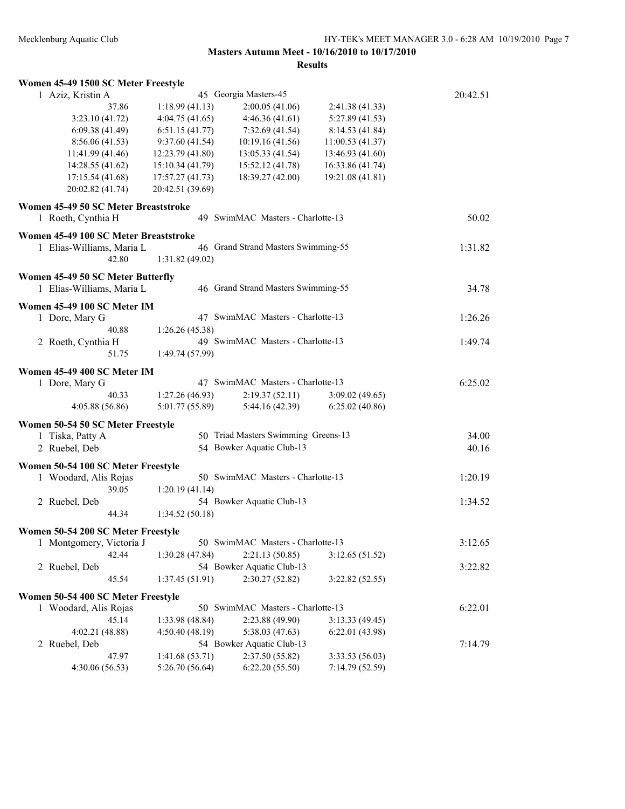| Women 45-49 1500 SC Meter Freestyle                            |                                  |                                              |                                   |          |
|----------------------------------------------------------------|----------------------------------|----------------------------------------------|-----------------------------------|----------|
| 1 Aziz, Kristin A                                              |                                  | 45 Georgia Masters-45                        |                                   | 20:42.51 |
| 37.86                                                          | 1:18.99(41.13)                   | 2:00.05(41.06)                               | 2:41.38 (41.33)                   |          |
| 3:23.10(41.72)                                                 | 4:04.75(41.65)                   | 4:46.36(41.61)                               | 5:27.89(41.53)                    |          |
| 6:09.38(41.49)                                                 | 6:51.15(41.77)                   | 7:32.69(41.54)                               | 8:14.53 (41.84)                   |          |
| 8:56.06(41.53)                                                 | 9:37.60(41.54)                   | 10:19.16(41.56)                              | 11:00.53 (41.37)                  |          |
| 11:41.99 (41.46)                                               | 12:23.79 (41.80)                 | 13:05.33 (41.54)                             | 13:46.93 (41.60)                  |          |
| 14:28.55 (41.62)                                               | 15:10.34 (41.79)                 | 15:52.12 (41.78)                             | 16:33.86 (41.74)                  |          |
| 17:15.54(41.68)                                                | 17:57.27 (41.73)                 | 18:39.27 (42.00)                             | 19:21.08 (41.81)                  |          |
| 20:02.82 (41.74)                                               | 20:42.51 (39.69)                 |                                              |                                   |          |
| Women 45-49 50 SC Meter Breaststroke<br>1 Roeth, Cynthia H     |                                  | 49 SwimMAC Masters - Charlotte-13            |                                   | 50.02    |
| Women 45-49 100 SC Meter Breaststroke                          |                                  |                                              |                                   |          |
| 1 Elias-Williams, Maria L                                      |                                  | 46 Grand Strand Masters Swimming-55          |                                   | 1:31.82  |
| 42.80                                                          | 1:31.82(49.02)                   |                                              |                                   |          |
|                                                                |                                  |                                              |                                   |          |
| Women 45-49 50 SC Meter Butterfly<br>1 Elias-Williams, Maria L |                                  | 46 Grand Strand Masters Swimming-55          |                                   | 34.78    |
| Women 45-49 100 SC Meter IM                                    |                                  |                                              |                                   |          |
| 1 Dore, Mary G                                                 |                                  | 47 SwimMAC Masters - Charlotte-13            |                                   | 1:26.26  |
| 40.88                                                          | 1:26.26(45.38)                   |                                              |                                   |          |
| 2 Roeth, Cynthia H                                             |                                  | 49 SwimMAC Masters - Charlotte-13            |                                   | 1:49.74  |
| 51.75                                                          | 1:49.74 (57.99)                  |                                              |                                   |          |
|                                                                |                                  |                                              |                                   |          |
| Women 45-49 400 SC Meter IM                                    |                                  |                                              |                                   |          |
| 1 Dore, Mary G                                                 |                                  | 47 SwimMAC Masters - Charlotte-13            |                                   | 6:25.02  |
| 40.33                                                          | 1:27.26(46.93)                   | 2:19.37(52.11)                               | 3:09.02(49.65)                    |          |
| 4:05.88(56.86)                                                 | 5:01.77 (55.89)                  | 5:44.16(42.39)                               | 6:25.02(40.86)                    |          |
| Women 50-54 50 SC Meter Freestyle                              |                                  |                                              |                                   |          |
| 1 Tiska, Patty A                                               |                                  | 50 Triad Masters Swimming Greens-13          |                                   | 34.00    |
| 2 Ruebel, Deb                                                  |                                  | 54 Bowker Aquatic Club-13                    |                                   | 40.16    |
| Women 50-54 100 SC Meter Freestyle                             |                                  |                                              |                                   |          |
| 1 Woodard, Alis Rojas                                          |                                  | 50 SwimMAC Masters - Charlotte-13            |                                   | 1:20.19  |
| 39.05                                                          | 1:20.19(41.14)                   |                                              |                                   |          |
| 2 Ruebel, Deb                                                  |                                  | 54 Bowker Aquatic Club-13                    |                                   | 1:34.52  |
| 44.34                                                          | 1:34.52(50.18)                   |                                              |                                   |          |
| Women 50-54 200 SC Meter Freestyle                             |                                  |                                              |                                   |          |
| 1 Montgomery, Victoria J                                       |                                  | 50 SwimMAC Masters - Charlotte-13            |                                   | 3:12.65  |
| 42.44                                                          | 1:30.28(47.84)                   | 2:21.13 (50.85)                              | 3:12.65(51.52)                    |          |
| 2 Ruebel, Deb                                                  |                                  | 54 Bowker Aquatic Club-13                    |                                   | 3:22.82  |
| 45.54                                                          | 1:37.45(51.91)                   | 2:30.27 (52.82)                              | 3:22.82(52.55)                    |          |
|                                                                |                                  |                                              |                                   |          |
| Women 50-54 400 SC Meter Freestyle                             |                                  |                                              |                                   |          |
| 1 Woodard, Alis Rojas                                          |                                  | 50 SwimMAC Masters - Charlotte-13            |                                   | 6:22.01  |
| 45.14                                                          | 1:33.98 (48.84)                  | 2:23.88 (49.90)                              | 3:13.33(49.45)                    |          |
| 4:02.21 (48.88)                                                | 4:50.40 (48.19)                  | 5:38.03 (47.63)<br>54 Bowker Aquatic Club-13 | 6:22.01(43.98)                    |          |
| 2 Ruebel, Deb                                                  |                                  |                                              |                                   | 7:14.79  |
| 47.97                                                          | 1:41.68(53.71)<br>5:26.70(56.64) | 2:37.50 (55.82)<br>6:22.20(55.50)            | 3:33.53(56.03)<br>7:14.79 (52.59) |          |
| 4:30.06(56.53)                                                 |                                  |                                              |                                   |          |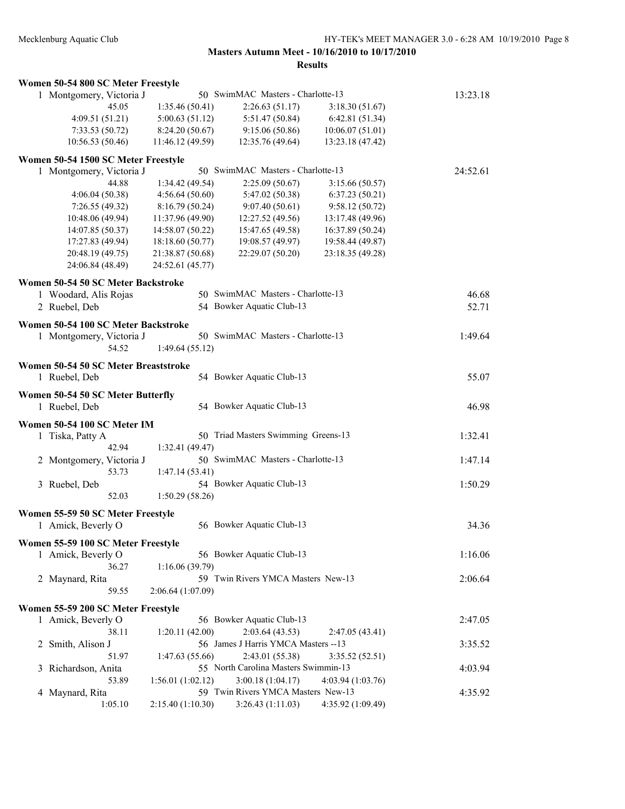| Women 50-54 800 SC Meter Freestyle                    |                   |                                      |                   |          |
|-------------------------------------------------------|-------------------|--------------------------------------|-------------------|----------|
| 1 Montgomery, Victoria J                              |                   | 50 SwimMAC Masters - Charlotte-13    |                   | 13:23.18 |
| 45.05                                                 | 1:35.46 (50.41)   | 2:26.63(51.17)                       | 3:18.30(51.67)    |          |
| 4:09.51 (51.21)                                       | 5:00.63(51.12)    | 5:51.47 (50.84)                      | 6:42.81(51.34)    |          |
| 7:33.53(50.72)                                        | 8:24.20 (50.67)   | 9:15.06(50.86)                       | 10:06.07(51.01)   |          |
| 10:56.53(50.46)                                       | 11:46.12 (49.59)  | 12:35.76 (49.64)                     | 13:23.18 (47.42)  |          |
| Women 50-54 1500 SC Meter Freestyle                   |                   |                                      |                   |          |
| 1 Montgomery, Victoria J                              |                   | 50 SwimMAC Masters - Charlotte-13    |                   | 24:52.61 |
| 44.88                                                 | 1:34.42(49.54)    | 2:25.09(50.67)                       | 3:15.66(50.57)    |          |
| 4:06.04(50.38)                                        | 4:56.64(50.60)    | 5:47.02 (50.38)                      | 6:37.23(50.21)    |          |
| 7:26.55(49.32)                                        | 8:16.79 (50.24)   | 9:07.40(50.61)                       | 9:58.12(50.72)    |          |
| 10:48.06 (49.94)                                      | 11:37.96 (49.90)  | 12:27.52 (49.56)                     | 13:17.48 (49.96)  |          |
| 14:07.85 (50.37)                                      | 14:58.07 (50.22)  | 15:47.65 (49.58)                     | 16:37.89 (50.24)  |          |
| 17:27.83 (49.94)                                      | 18:18.60 (50.77)  | 19:08.57 (49.97)                     | 19:58.44 (49.87)  |          |
| 20:48.19 (49.75)                                      | 21:38.87 (50.68)  | 22:29.07 (50.20)                     | 23:18.35 (49.28)  |          |
| 24:06.84 (48.49)                                      | 24:52.61 (45.77)  |                                      |                   |          |
| Women 50-54 50 SC Meter Backstroke                    |                   |                                      |                   |          |
| 1 Woodard, Alis Rojas                                 |                   | 50 SwimMAC Masters - Charlotte-13    |                   | 46.68    |
| 2 Ruebel, Deb                                         |                   | 54 Bowker Aquatic Club-13            |                   | 52.71    |
| Women 50-54 100 SC Meter Backstroke                   |                   |                                      |                   |          |
| 1 Montgomery, Victoria J                              |                   | 50 SwimMAC Masters - Charlotte-13    |                   | 1:49.64  |
| 54.52                                                 | 1:49.64(55.12)    |                                      |                   |          |
|                                                       |                   |                                      |                   |          |
| Women 50-54 50 SC Meter Breaststroke<br>1 Ruebel, Deb |                   | 54 Bowker Aquatic Club-13            |                   | 55.07    |
| Women 50-54 50 SC Meter Butterfly                     |                   |                                      |                   |          |
| 1 Ruebel, Deb                                         |                   | 54 Bowker Aquatic Club-13            |                   | 46.98    |
| Women 50-54 100 SC Meter IM                           |                   |                                      |                   |          |
| 1 Tiska, Patty A                                      |                   | 50 Triad Masters Swimming Greens-13  |                   | 1:32.41  |
| 42.94                                                 | 1:32.41 (49.47)   |                                      |                   |          |
| 2 Montgomery, Victoria J                              |                   | 50 SwimMAC Masters - Charlotte-13    |                   | 1:47.14  |
| 53.73                                                 | 1:47.14(53.41)    |                                      |                   |          |
| 3 Ruebel, Deb                                         |                   | 54 Bowker Aquatic Club-13            |                   | 1:50.29  |
| 52.03                                                 | 1:50.29(58.26)    |                                      |                   |          |
| Women 55-59 50 SC Meter Freestyle                     |                   |                                      |                   |          |
| 1 Amick, Beverly O                                    |                   | 56 Bowker Aquatic Club-13            |                   | 34.36    |
|                                                       |                   |                                      |                   |          |
| Women 55-59 100 SC Meter Freestyle                    |                   |                                      |                   |          |
| 1 Amick, Beverly O                                    |                   | 56 Bowker Aquatic Club-13            |                   | 1:16.06  |
| 36.27                                                 | 1:16.06(39.79)    |                                      |                   |          |
| 2 Maynard, Rita                                       |                   | 59 Twin Rivers YMCA Masters New-13   |                   | 2:06.64  |
| 59.55                                                 | 2:06.64 (1:07.09) |                                      |                   |          |
| Women 55-59 200 SC Meter Freestyle                    |                   |                                      |                   |          |
| 1 Amick, Beverly O                                    |                   | 56 Bowker Aquatic Club-13            |                   | 2:47.05  |
| 38.11                                                 | 1:20.11(42.00)    | 2:03.64(43.53)                       | 2:47.05 (43.41)   |          |
| Smith, Alison J<br>2                                  |                   | 56 James J Harris YMCA Masters -- 13 |                   | 3:35.52  |
| 51.97                                                 | 1:47.63(55.66)    | 2:43.01 (55.38)                      | 3:35.52(52.51)    |          |
| Richardson, Anita<br>3                                |                   | 55 North Carolina Masters Swimmin-13 |                   | 4:03.94  |
| 53.89                                                 | 1:56.01(1:02.12)  | 3:00.18(1:04.17)                     | 4:03.94(1:03.76)  |          |
| Maynard, Rita<br>4                                    |                   | 59 Twin Rivers YMCA Masters New-13   |                   | 4:35.92  |
| 1:05.10                                               | 2:15.40 (1:10.30) | 3:26.43(1:11.03)                     | 4:35.92 (1:09.49) |          |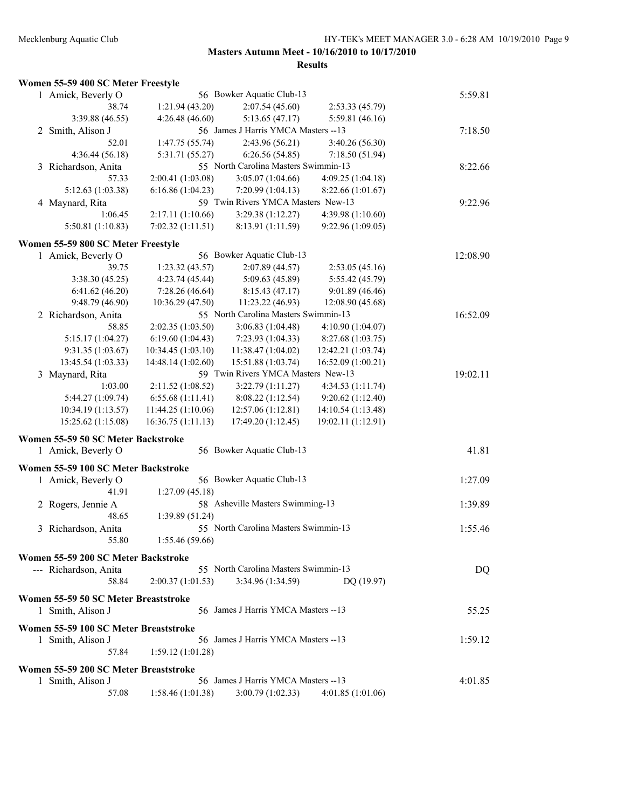| Women 55-59 400 SC Meter Freestyle |
|------------------------------------|
|------------------------------------|

| 1 Amick, Beverly O                                           |                    | 56 Bowker Aquatic Club-13            |                    | 5:59.81  |
|--------------------------------------------------------------|--------------------|--------------------------------------|--------------------|----------|
| 38.74                                                        | 1:21.94 (43.20)    | 2:07.54(45.60)                       | 2:53.33(45.79)     |          |
| 3:39.88 (46.55)                                              | 4:26.48(46.60)     | 5:13.65(47.17)                       | 5:59.81 (46.16)    |          |
| 2 Smith, Alison J                                            |                    | 56 James J Harris YMCA Masters -- 13 |                    | 7:18.50  |
| 52.01                                                        | 1:47.75 (55.74)    | 2:43.96(56.21)                       | 3:40.26 (56.30)    |          |
| 4:36.44(56.18)                                               | 5:31.71 (55.27)    | 6:26.56(54.85)                       | 7:18.50(51.94)     |          |
| 3 Richardson, Anita                                          |                    | 55 North Carolina Masters Swimmin-13 |                    | 8:22.66  |
| 57.33                                                        | 2:00.41 (1:03.08)  | 3:05.07(1:04.66)                     | 4:09.25 (1:04.18)  |          |
| 5:12.63 (1:03.38)                                            | 6:16.86(1:04.23)   | 7:20.99 (1:04.13)                    | 8:22.66 (1:01.67)  |          |
| 4 Maynard, Rita                                              |                    | 59 Twin Rivers YMCA Masters New-13   |                    | 9:22.96  |
| 1:06.45                                                      | 2:17.11 (1:10.66)  | 3:29.38(1:12.27)                     | 4:39.98 (1:10.60)  |          |
| 5:50.81(1:10.83)                                             | 7:02.32(1:11.51)   | 8:13.91 (1:11.59)                    | 9:22.96 (1:09.05)  |          |
| Women 55-59 800 SC Meter Freestyle                           |                    |                                      |                    |          |
| 1 Amick, Beverly O                                           |                    | 56 Bowker Aquatic Club-13            |                    | 12:08.90 |
| 39.75                                                        | 1:23.32(43.57)     | 2:07.89 (44.57)                      | 2:53.05(45.16)     |          |
| 3:38.30(45.25)                                               | 4:23.74 (45.44)    | 5:09.63 (45.89)                      | 5:55.42 (45.79)    |          |
| 6:41.62(46.20)                                               | 7:28.26 (46.64)    | 8:15.43(47.17)                       | 9:01.89 (46.46)    |          |
| 9:48.79 (46.90)                                              | 10:36.29 (47.50)   | 11:23.22 (46.93)                     | 12:08.90 (45.68)   |          |
| 2 Richardson, Anita                                          |                    | 55 North Carolina Masters Swimmin-13 |                    | 16:52.09 |
| 58.85                                                        | 2:02.35 (1:03.50)  | 3:06.83(1:04.48)                     | 4:10.90 (1:04.07)  |          |
| 5:15.17 (1:04.27)                                            | 6:19.60(1:04.43)   | 7:23.93 (1:04.33)                    | 8:27.68 (1:03.75)  |          |
| 9:31.35 (1:03.67)                                            | 10:34.45 (1:03.10) | 11:38.47 (1:04.02)                   | 12:42.21 (1:03.74) |          |
| 13:45.54 (1:03.33)                                           |                    | 15:51.88 (1:03.74)                   |                    |          |
|                                                              | 14:48.14 (1:02.60) |                                      | 16:52.09 (1:00.21) |          |
| 3 Maynard, Rita                                              |                    | 59 Twin Rivers YMCA Masters New-13   |                    | 19:02.11 |
| 1:03.00                                                      | 2:11.52 (1:08.52)  | 3:22.79(1:11.27)                     | 4:34.53 (1:11.74)  |          |
| 5:44.27 (1:09.74)                                            | 6:55.68 (1:11.41)  | 8:08.22 (1:12.54)                    | 9:20.62(1:12.40)   |          |
| 10:34.19 (1:13.57)<br>15:25.62 (1:15.08)                     | 11:44.25 (1:10.06) | 12:57.06 (1:12.81)                   | 14:10.54 (1:13.48) |          |
|                                                              | 16:36.75 (1:11.13) | 17:49.20 (1:12.45)                   | 19:02.11 (1:12.91) |          |
| Women 55-59 50 SC Meter Backstroke                           |                    |                                      |                    |          |
| 1 Amick, Beverly O                                           |                    | 56 Bowker Aquatic Club-13            |                    | 41.81    |
| Women 55-59 100 SC Meter Backstroke                          |                    |                                      |                    |          |
| 1 Amick, Beverly O                                           |                    | 56 Bowker Aquatic Club-13            |                    | 1:27.09  |
| 41.91                                                        | 1:27.09(45.18)     |                                      |                    |          |
| 2 Rogers, Jennie A                                           |                    | 58 Asheville Masters Swimming-13     |                    | 1:39.89  |
| 48.65                                                        | 1:39.89 (51.24)    |                                      |                    |          |
| 3 Richardson, Anita                                          |                    | 55 North Carolina Masters Swimmin-13 |                    | 1:55.46  |
| 55.80                                                        | 1:55.46 (59.66)    |                                      |                    |          |
|                                                              |                    |                                      |                    |          |
| Women 55-59 200 SC Meter Backstroke<br>--- Richardson, Anita |                    | 55 North Carolina Masters Swimmin-13 |                    | DQ       |
| 58.84                                                        | 2:00.37(1:01.53)   | 3:34.96(1:34.59)                     | DQ (19.97)         |          |
|                                                              |                    |                                      |                    |          |
| Women 55-59 50 SC Meter Breaststroke                         |                    |                                      |                    |          |
| 1 Smith, Alison J                                            |                    | 56 James J Harris YMCA Masters --13  |                    | 55.25    |
| Women 55-59 100 SC Meter Breaststroke                        |                    |                                      |                    |          |
| 1 Smith, Alison J                                            |                    | 56 James J Harris YMCA Masters --13  |                    | 1:59.12  |
| 57.84                                                        | 1:59.12(1:01.28)   |                                      |                    |          |
|                                                              |                    |                                      |                    |          |
| Women 55-59 200 SC Meter Breaststroke                        |                    |                                      |                    |          |
| 1 Smith, Alison J                                            |                    | 56 James J Harris YMCA Masters --13  |                    | 4:01.85  |
| 57.08                                                        | 1:58.46(1:01.38)   | 3:00.79(1:02.33)                     | 4:01.85(1:01.06)   |          |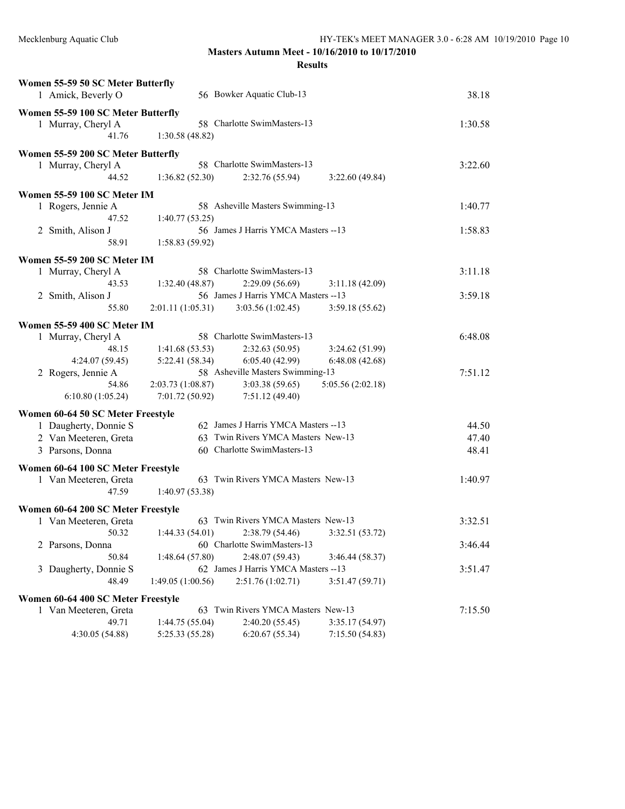| Women 55-59 50 SC Meter Butterfly<br>1 Amick, Beverly O |                   | 56 Bowker Aquatic Club-13            |                                   | 38.18   |
|---------------------------------------------------------|-------------------|--------------------------------------|-----------------------------------|---------|
| Women 55-59 100 SC Meter Butterfly                      |                   |                                      |                                   |         |
| 1 Murray, Cheryl A                                      |                   | 58 Charlotte SwimMasters-13          |                                   | 1:30.58 |
| 41.76                                                   | 1:30.58(48.82)    |                                      |                                   |         |
| Women 55-59 200 SC Meter Butterfly                      |                   |                                      |                                   |         |
| 1 Murray, Cheryl A                                      |                   | 58 Charlotte SwimMasters-13          |                                   | 3:22.60 |
| 44.52                                                   | 1:36.82(52.30)    | 2:32.76(55.94)                       | 3:22.60(49.84)                    |         |
| Women 55-59 100 SC Meter IM                             |                   |                                      |                                   |         |
| 1 Rogers, Jennie A                                      |                   | 58 Asheville Masters Swimming-13     |                                   | 1:40.77 |
| 47.52                                                   | 1:40.77(53.25)    |                                      |                                   |         |
| 2 Smith, Alison J                                       |                   | 56 James J Harris YMCA Masters -- 13 |                                   | 1:58.83 |
| 58.91                                                   | 1:58.83 (59.92)   |                                      |                                   |         |
| Women 55-59 200 SC Meter IM                             |                   |                                      |                                   |         |
| 1 Murray, Cheryl A                                      |                   | 58 Charlotte SwimMasters-13          |                                   | 3:11.18 |
| 43.53                                                   | 1:32.40 (48.87)   | 2:29.09(56.69)                       | 3:11.18(42.09)                    |         |
| 2 Smith, Alison J                                       |                   | 56 James J Harris YMCA Masters -- 13 |                                   | 3:59.18 |
| 55.80                                                   | 2:01.11(1:05.31)  | 3:03.56(1:02.45)                     | 3:59.18(55.62)                    |         |
| Women 55-59 400 SC Meter IM                             |                   |                                      |                                   |         |
| 1 Murray, Cheryl A                                      |                   | 58 Charlotte SwimMasters-13          |                                   | 6:48.08 |
| 48.15                                                   | 1:41.68(53.53)    | 2:32.63(50.95)                       | 3:24.62(51.99)                    |         |
| 4:24.07 (59.45)                                         | 5:22.41(58.34)    | 6:05.40(42.99)                       | 6:48.08(42.68)                    |         |
| 2 Rogers, Jennie A                                      |                   | 58 Asheville Masters Swimming-13     |                                   | 7:51.12 |
| 54.86                                                   | 2:03.73(1:08.87)  | 3:03.38(59.65)                       | 5:05.56 (2:02.18)                 |         |
| 6:10.80(1:05.24)                                        | 7:01.72(50.92)    | 7:51.12(49.40)                       |                                   |         |
| Women 60-64 50 SC Meter Freestyle                       |                   |                                      |                                   |         |
| 1 Daugherty, Donnie S                                   |                   | 62 James J Harris YMCA Masters -- 13 |                                   | 44.50   |
| 2 Van Meeteren, Greta                                   |                   | 63 Twin Rivers YMCA Masters New-13   |                                   | 47.40   |
| 3 Parsons, Donna                                        |                   | 60 Charlotte SwimMasters-13          |                                   | 48.41   |
|                                                         |                   |                                      |                                   |         |
| Women 60-64 100 SC Meter Freestyle                      |                   | 63 Twin Rivers YMCA Masters New-13   |                                   |         |
| 1 Van Meeteren, Greta<br>47.59                          |                   |                                      |                                   | 1:40.97 |
|                                                         | 1:40.97(53.38)    |                                      |                                   |         |
| Women 60-64 200 SC Meter Freestyle                      |                   |                                      |                                   |         |
| 1 Van Meeteren, Greta                                   |                   | 63 Twin Rivers YMCA Masters New-13   |                                   | 3:32.51 |
| 50.32                                                   | 1:44.33(54.01)    |                                      | $2:38.79(54.46)$ $3:32.51(53.72)$ |         |
| 2 Parsons, Donna                                        |                   | 60 Charlotte SwimMasters-13          |                                   | 3:46.44 |
| 50.84                                                   | 1:48.64(57.80)    | 2:48.07 (59.43)                      | 3:46.44(58.37)                    |         |
| 3 Daugherty, Donnie S                                   |                   | 62 James J Harris YMCA Masters -- 13 |                                   | 3:51.47 |
| 48.49                                                   | 1:49.05 (1:00.56) | 2:51.76(1:02.71)                     | 3:51.47 (59.71)                   |         |
| Women 60-64 400 SC Meter Freestyle                      |                   |                                      |                                   |         |
| 1 Van Meeteren, Greta                                   |                   | 63 Twin Rivers YMCA Masters New-13   |                                   | 7:15.50 |
| 49.71                                                   | 1:44.75 (55.04)   | 2:40.20 (55.45)                      | 3:35.17(54.97)                    |         |
| 4:30.05 (54.88)                                         | 5:25.33 (55.28)   | 6:20.67(55.34)                       | 7:15.50(54.83)                    |         |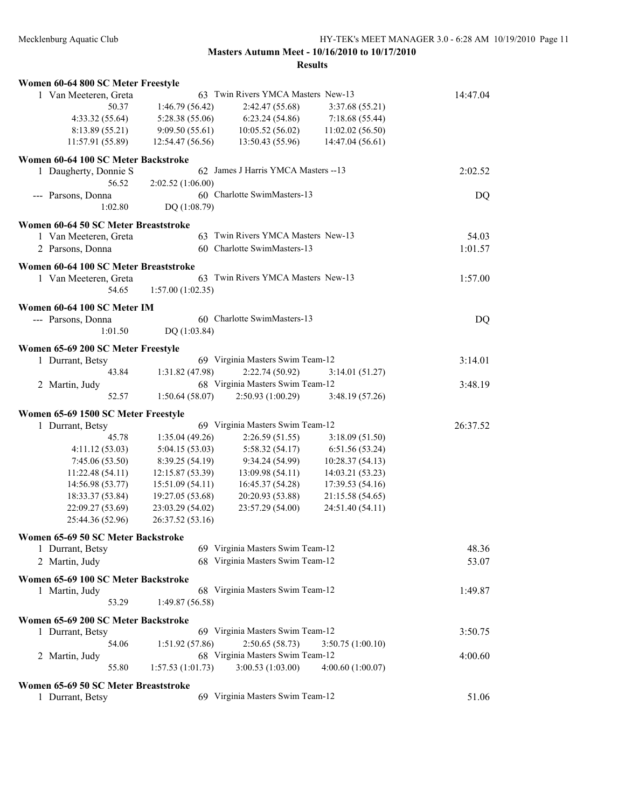| Women 60-64 800 SC Meter Freestyle                       |                   |                                     |                   |          |
|----------------------------------------------------------|-------------------|-------------------------------------|-------------------|----------|
| 1 Van Meeteren, Greta                                    |                   | 63 Twin Rivers YMCA Masters New-13  |                   | 14:47.04 |
| 50.37                                                    | 1:46.79(56.42)    | 2:42.47 (55.68)                     | 3:37.68 (55.21)   |          |
| 4:33.32(55.64)                                           | 5:28.38(55.06)    | 6:23.24(54.86)                      | 7:18.68(55.44)    |          |
| 8:13.89 (55.21)                                          | 9:09.50(55.61)    | 10:05.52 (56.02)                    | 11:02.02(56.50)   |          |
| 11:57.91 (55.89)                                         | 12:54.47 (56.56)  | 13:50.43 (55.96)                    | 14:47.04 (56.61)  |          |
| Women 60-64 100 SC Meter Backstroke                      |                   |                                     |                   |          |
| 1 Daugherty, Donnie S                                    |                   | 62 James J Harris YMCA Masters --13 |                   | 2:02.52  |
| 56.52                                                    | 2:02.52 (1:06.00) |                                     |                   |          |
| --- Parsons, Donna                                       |                   | 60 Charlotte SwimMasters-13         |                   | DQ       |
| 1:02.80                                                  | DQ (1:08.79)      |                                     |                   |          |
| Women 60-64 50 SC Meter Breaststroke                     |                   |                                     |                   |          |
| 1 Van Meeteren, Greta                                    |                   | 63 Twin Rivers YMCA Masters New-13  |                   | 54.03    |
| 2 Parsons, Donna                                         |                   | 60 Charlotte SwimMasters-13         |                   | 1:01.57  |
| Women 60-64 100 SC Meter Breaststroke                    |                   |                                     |                   |          |
| 1 Van Meeteren, Greta                                    |                   | 63 Twin Rivers YMCA Masters New-13  |                   | 1:57.00  |
| 54.65                                                    | 1:57.00(1:02.35)  |                                     |                   |          |
| Women 60-64 100 SC Meter IM                              |                   |                                     |                   |          |
| --- Parsons, Donna                                       |                   | 60 Charlotte SwimMasters-13         |                   | DQ       |
| 1:01.50                                                  | DQ (1:03.84)      |                                     |                   |          |
|                                                          |                   |                                     |                   |          |
| Women 65-69 200 SC Meter Freestyle                       |                   |                                     |                   |          |
| 1 Durrant, Betsy<br>43.84                                |                   | 69 Virginia Masters Swim Team-12    |                   | 3:14.01  |
|                                                          | 1:31.82(47.98)    | 2:22.74(50.92)                      | 3:14.01(51.27)    |          |
| 2 Martin, Judy                                           |                   | 68 Virginia Masters Swim Team-12    |                   | 3:48.19  |
| 52.57                                                    | 1:50.64(58.07)    | 2:50.93(1:00.29)                    | 3:48.19(57.26)    |          |
| Women 65-69 1500 SC Meter Freestyle                      |                   |                                     |                   |          |
| 1 Durrant, Betsy                                         |                   | 69 Virginia Masters Swim Team-12    |                   | 26:37.52 |
| 45.78                                                    | 1:35.04(49.26)    | 2:26.59(51.55)                      | 3:18.09(51.50)    |          |
| 4:11.12(53.03)                                           | 5:04.15(53.03)    | 5:58.32(54.17)                      | 6:51.56(53.24)    |          |
| 7:45.06(53.50)                                           | 8:39.25(54.19)    | 9:34.24(54.99)                      | 10:28.37(54.13)   |          |
| 11:22.48 (54.11)                                         | 12:15.87 (53.39)  | 13:09.98(54.11)                     | 14:03.21 (53.23)  |          |
| 14:56.98 (53.77)                                         | 15:51.09 (54.11)  | 16:45.37 (54.28)                    | 17:39.53 (54.16)  |          |
| 18:33.37 (53.84)                                         | 19:27.05 (53.68)  | 20:20.93 (53.88)                    | 21:15.58 (54.65)  |          |
| 22:09.27 (53.69)                                         | 23:03.29 (54.02)  | 23:57.29 (54.00)                    | 24:51.40 (54.11)  |          |
| 25:44.36 (52.96)                                         | 26:37.52 (53.16)  |                                     |                   |          |
| Women 65-69 50 SC Meter Backstroke                       |                   |                                     |                   |          |
| 1 Durrant, Betsy                                         |                   | 69 Virginia Masters Swim Team-12    |                   | 48.36    |
| 2 Martin, Judy                                           |                   | 68 Virginia Masters Swim Team-12    |                   | 53.07    |
| Women 65-69 100 SC Meter Backstroke                      |                   |                                     |                   |          |
| 1 Martin, Judy                                           |                   | 68 Virginia Masters Swim Team-12    |                   | 1:49.87  |
| 53.29                                                    | 1:49.87(56.58)    |                                     |                   |          |
| Women 65-69 200 SC Meter Backstroke                      |                   |                                     |                   |          |
| 1 Durrant, Betsy                                         |                   | 69 Virginia Masters Swim Team-12    |                   | 3:50.75  |
| 54.06                                                    | 1:51.92 (57.86)   | 2:50.65(58.73)                      | 3:50.75(1:00.10)  |          |
| 2 Martin, Judy                                           |                   | 68 Virginia Masters Swim Team-12    |                   | 4:00.60  |
| 55.80                                                    | 1:57.53 (1:01.73) | 3:00.53(1:03.00)                    | 4:00.60 (1:00.07) |          |
|                                                          |                   |                                     |                   |          |
| Women 65-69 50 SC Meter Breaststroke<br>1 Durrant, Betsy |                   | 69 Virginia Masters Swim Team-12    |                   | 51.06    |
|                                                          |                   |                                     |                   |          |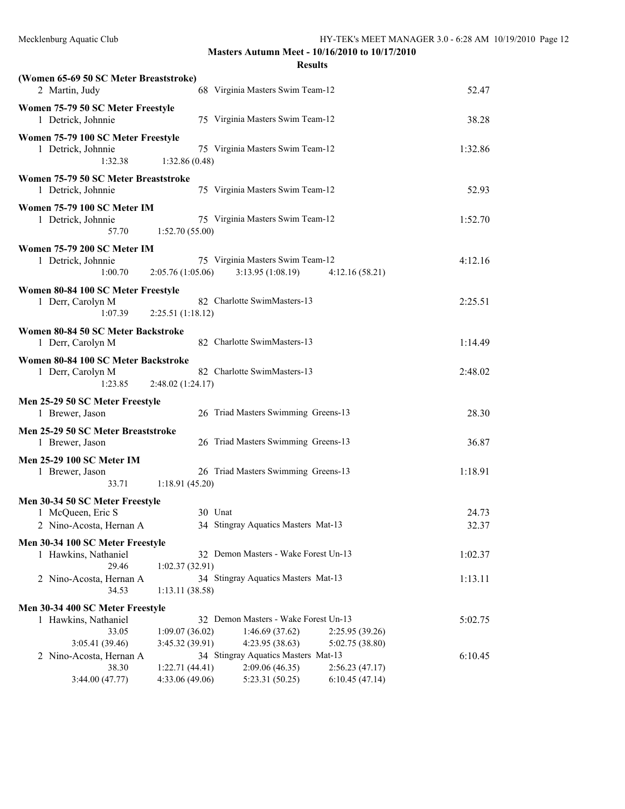**Masters Autumn Meet - 10/16/2010 to 10/17/2010 Results**

| (Women 65-69 50 SC Meter Breaststroke)                              |                                                                                            |         |
|---------------------------------------------------------------------|--------------------------------------------------------------------------------------------|---------|
| 2 Martin, Judy                                                      | 68 Virginia Masters Swim Team-12                                                           | 52.47   |
| Women 75-79 50 SC Meter Freestyle<br>1 Detrick, Johnnie             | 75 Virginia Masters Swim Team-12                                                           | 38.28   |
| Women 75-79 100 SC Meter Freestyle<br>1 Detrick, Johnnie<br>1:32.38 | 75 Virginia Masters Swim Team-12<br>1:32.86(0.48)                                          | 1:32.86 |
| Women 75-79 50 SC Meter Breaststroke<br>1 Detrick, Johnnie          | 75 Virginia Masters Swim Team-12                                                           | 52.93   |
| Women 75-79 100 SC Meter IM<br>1 Detrick, Johnnie<br>57.70          | 75 Virginia Masters Swim Team-12<br>1:52.70(55.00)                                         | 1:52.70 |
| <b>Women 75-79 200 SC Meter IM</b><br>1 Detrick, Johnnie<br>1:00.70 | 75 Virginia Masters Swim Team-12<br>2:05.76(1:05.06)<br>3:13.95(1:08.19)<br>4:12.16(58.21) | 4:12.16 |
| Women 80-84 100 SC Meter Freestyle<br>1 Derr, Carolyn M<br>1:07.39  | 82 Charlotte SwimMasters-13<br>2:25.51(1:18.12)                                            | 2:25.51 |
| Women 80-84 50 SC Meter Backstroke<br>Derr. Carolyn M               | 82 Charlotte SwimMasters-13                                                                | 1:14.49 |

| Women 80-84 100 SC Meter Backstroke<br>82 Charlotte SwimMasters-13<br>2:48.02 (1:24.17) | 2:48.02 |
|-----------------------------------------------------------------------------------------|---------|
| Men 25-29 50 SC Meter Freestyle<br>26 Triad Masters Swimming Greens-13                  | 28.30   |
| Men 25-29 50 SC Meter Breaststroke<br>26 Triad Masters Swimming Greens-13               | 36.87   |
| 26 Triad Masters Swimming Greens-13<br>1:18.91(45.20)                                   | 1:18.91 |
| Men 30-34 50 SC Meter Freestyle                                                         |         |
| 30 Unat                                                                                 | 24.73   |
| 34 Stingray Aquatics Masters Mat-13<br>2 Nino-Acosta, Hernan A                          | 32.37   |
|                                                                                         |         |

**Men 30-34 100 SC Meter Freestyle**<br>1 Hawkins Nathaniel

| Hawkins, Nathaniel      | 32 Demon Masters - Wake Forest Un-13 | 1:02.37 |
|-------------------------|--------------------------------------|---------|
| 29.46                   | 1:02.37(32.91)                       |         |
| 2 Nino-Acosta, Hernan A | 34 Stingray Aquatics Masters Mat-13  | 1:1311  |
| 34.53                   | 1:13.11(38.58)                       |         |

### **Men 30-34 400 SC Meter Freestyle**

| 1 Hawkins, Nathaniel    | 32 Demon Masters - Wake Forest Un-13 | 5:02.75                             |                |         |
|-------------------------|--------------------------------------|-------------------------------------|----------------|---------|
| 33.05                   | 1:09.07(36.02)                       | 1:46.69(37.62)                      | 2:25.95(39.26) |         |
| 3:05.41(39.46)          | 3:45.32(39.91)                       | 4:23.95(38.63)                      | 5:02.75(38.80) |         |
| 2 Nino-Acosta, Hernan A |                                      | 34 Stingray Aquatics Masters Mat-13 |                | 6:10.45 |
| 38.30                   | 1:22.71(44.41)                       | 2:09.06(46.35)                      | 2:56.23(47.17) |         |
| 3:44.00(47.77)          | 4:33.06(49.06)                       | 5:23.31(50.25)                      | 6:10.45(47.14) |         |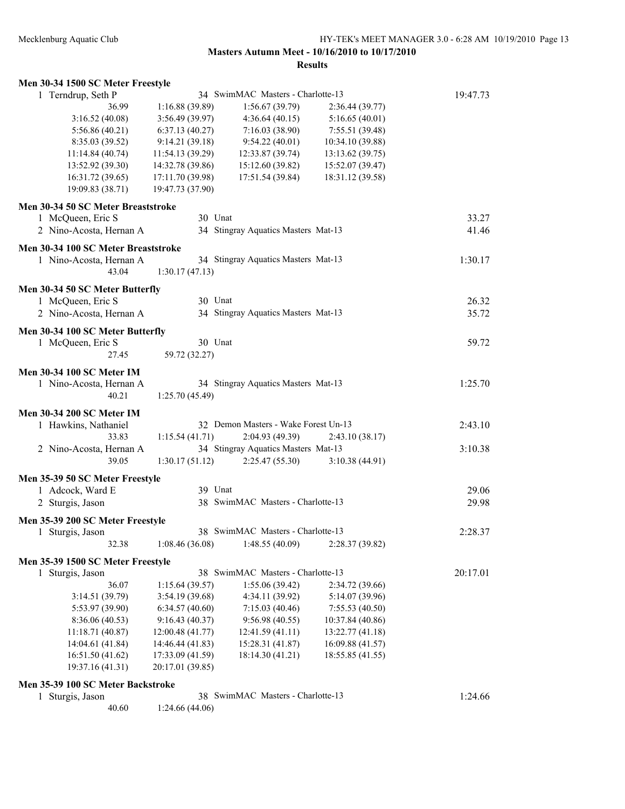| Men 30-34 1500 SC Meter Freestyle                     |                  |                                      |                  |          |
|-------------------------------------------------------|------------------|--------------------------------------|------------------|----------|
| 1 Terndrup, Seth P                                    |                  | 34 SwimMAC Masters - Charlotte-13    |                  | 19:47.73 |
| 36.99                                                 | 1:16.88 (39.89)  | 1:56.67(39.79)                       | 2:36.44 (39.77)  |          |
| 3:16.52(40.08)                                        | 3:56.49 (39.97)  | 4:36.64(40.15)                       | 5:16.65(40.01)   |          |
| 5:56.86(40.21)                                        | 6:37.13(40.27)   | 7:16.03(38.90)                       | 7:55.51(39.48)   |          |
| 8:35.03 (39.52)                                       | 9:14.21(39.18)   | 9:54.22(40.01)                       | 10:34.10 (39.88) |          |
| 11:14.84(40.74)                                       | 11:54.13(39.29)  | 12:33.87 (39.74)                     | 13:13.62(39.75)  |          |
| 13:52.92 (39.30)                                      | 14:32.78 (39.86) | 15:12.60 (39.82)                     | 15:52.07 (39.47) |          |
| 16:31.72 (39.65)                                      | 17:11.70 (39.98) | 17:51.54 (39.84)                     | 18:31.12 (39.58) |          |
| 19:09.83 (38.71)                                      | 19:47.73 (37.90) |                                      |                  |          |
| Men 30-34 50 SC Meter Breaststroke                    |                  |                                      |                  |          |
| 1 McQueen, Eric S                                     | 30 Unat          |                                      |                  | 33.27    |
| 2 Nino-Acosta, Hernan A                               |                  | 34 Stingray Aquatics Masters Mat-13  |                  | 41.46    |
|                                                       |                  |                                      |                  |          |
| Men 30-34 100 SC Meter Breaststroke                   |                  |                                      |                  |          |
| 1 Nino-Acosta, Hernan A                               |                  | 34 Stingray Aquatics Masters Mat-13  |                  | 1:30.17  |
| 43.04                                                 | 1:30.17(47.13)   |                                      |                  |          |
| Men 30-34 50 SC Meter Butterfly                       |                  |                                      |                  |          |
| 1 McQueen, Eric S                                     | 30 Unat          |                                      |                  | 26.32    |
| 2 Nino-Acosta, Hernan A                               |                  | 34 Stingray Aquatics Masters Mat-13  |                  | 35.72    |
|                                                       |                  |                                      |                  |          |
| Men 30-34 100 SC Meter Butterfly<br>1 McQueen, Eric S | 30 Unat          |                                      |                  | 59.72    |
| 27.45                                                 | 59.72 (32.27)    |                                      |                  |          |
|                                                       |                  |                                      |                  |          |
| <b>Men 30-34 100 SC Meter IM</b>                      |                  |                                      |                  |          |
| 1 Nino-Acosta, Hernan A                               |                  | 34 Stingray Aquatics Masters Mat-13  |                  | 1:25.70  |
| 40.21                                                 | 1:25.70 (45.49)  |                                      |                  |          |
| <b>Men 30-34 200 SC Meter IM</b>                      |                  |                                      |                  |          |
| 1 Hawkins, Nathaniel                                  |                  | 32 Demon Masters - Wake Forest Un-13 |                  | 2:43.10  |
| 33.83                                                 | 1:15.54(41.71)   | 2:04.93 (49.39)                      | 2:43.10(38.17)   |          |
| 2 Nino-Acosta, Hernan A                               |                  | 34 Stingray Aquatics Masters Mat-13  |                  | 3:10.38  |
| 39.05                                                 | 1:30.17(51.12)   | 2:25.47(55.30)                       | 3:10.38(44.91)   |          |
|                                                       |                  |                                      |                  |          |
| Men 35-39 50 SC Meter Freestyle                       |                  |                                      |                  |          |
| 1 Adcock, Ward E                                      | 39 Unat          |                                      |                  | 29.06    |
| 2 Sturgis, Jason                                      |                  | 38 SwimMAC Masters - Charlotte-13    |                  | 29.98    |
| Men 35-39 200 SC Meter Freestyle                      |                  |                                      |                  |          |
| 1 Sturgis, Jason                                      |                  | 38 SwimMAC Masters - Charlotte-13    |                  | 2:28.37  |
| 32.38                                                 | 1:08.46(36.08)   | 1:48.55(40.09)                       | 2:28.37 (39.82)  |          |
| Men 35-39 1500 SC Meter Freestyle                     |                  |                                      |                  |          |
| 1 Sturgis, Jason                                      |                  | 38 SwimMAC Masters - Charlotte-13    |                  | 20:17.01 |
| 36.07                                                 | 1:15.64(39.57)   | 1:55.06(39.42)                       | 2:34.72 (39.66)  |          |
| 3:14.51 (39.79)                                       | 3:54.19 (39.68)  | 4:34.11 (39.92)                      | 5:14.07 (39.96)  |          |
| 5:53.97 (39.90)                                       | 6:34.57(40.60)   | 7:15.03(40.46)                       | 7:55.53(40.50)   |          |
| 8:36.06 (40.53)                                       | 9:16.43(40.37)   | 9:56.98(40.55)                       | 10:37.84 (40.86) |          |
| 11:18.71 (40.87)                                      | 12:00.48 (41.77) | 12:41.59 (41.11)                     | 13:22.77 (41.18) |          |
| 14:04.61 (41.84)                                      | 14:46.44 (41.83) | 15:28.31 (41.87)                     | 16:09.88 (41.57) |          |
| 16:51.50 (41.62)                                      | 17:33.09 (41.59) | 18:14.30 (41.21)                     | 18:55.85 (41.55) |          |
| 19:37.16 (41.31)                                      | 20:17.01 (39.85) |                                      |                  |          |
|                                                       |                  |                                      |                  |          |
| Men 35-39 100 SC Meter Backstroke                     |                  |                                      |                  |          |
| 1 Sturgis, Jason                                      |                  | 38 SwimMAC Masters - Charlotte-13    |                  | 1:24.66  |
| 40.60                                                 | 1:24.66 (44.06)  |                                      |                  |          |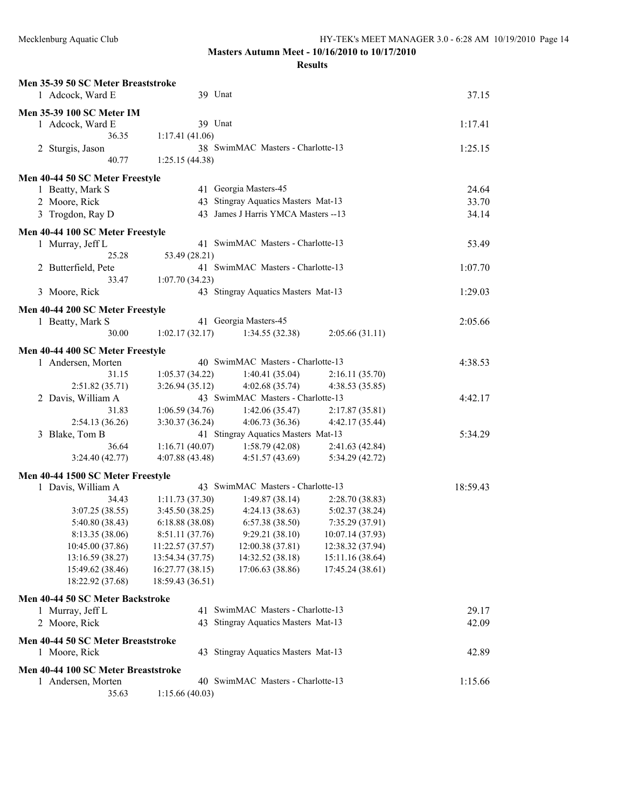| Men 35-39 50 SC Meter Breaststroke  |                  |                                      |                  |          |
|-------------------------------------|------------------|--------------------------------------|------------------|----------|
| 1 Adcock, Ward E                    | 39 Unat          |                                      |                  | 37.15    |
| <b>Men 35-39 100 SC Meter IM</b>    |                  |                                      |                  |          |
| 1 Adcock, Ward E                    | 39 Unat          |                                      |                  | 1:17.41  |
| 36.35                               | 1:17.41(41.06)   |                                      |                  |          |
|                                     |                  |                                      |                  |          |
| 2 Sturgis, Jason                    |                  | 38 SwimMAC Masters - Charlotte-13    |                  | 1:25.15  |
| 40.77                               | 1:25.15 (44.38)  |                                      |                  |          |
| Men 40-44 50 SC Meter Freestyle     |                  |                                      |                  |          |
| 1 Beatty, Mark S                    |                  | 41 Georgia Masters-45                |                  | 24.64    |
| 2 Moore, Rick                       |                  | 43 Stingray Aquatics Masters Mat-13  |                  | 33.70    |
| 3 Trogdon, Ray D                    |                  | 43 James J Harris YMCA Masters -- 13 |                  | 34.14    |
|                                     |                  |                                      |                  |          |
| Men 40-44 100 SC Meter Freestyle    |                  |                                      |                  |          |
| 1 Murray, Jeff L                    |                  | 41 SwimMAC Masters - Charlotte-13    |                  | 53.49    |
| 25.28                               | 53.49 (28.21)    |                                      |                  |          |
| 2 Butterfield, Pete                 |                  | 41 SwimMAC Masters - Charlotte-13    |                  | 1:07.70  |
| 33.47                               | 1:07.70(34.23)   |                                      |                  |          |
| 3 Moore, Rick                       |                  | 43 Stingray Aquatics Masters Mat-13  |                  | 1:29.03  |
|                                     |                  |                                      |                  |          |
| Men 40-44 200 SC Meter Freestyle    |                  |                                      |                  |          |
| 1 Beatty, Mark S                    |                  | 41 Georgia Masters-45                |                  | 2:05.66  |
| 30.00                               | 1:02.17(32.17)   | 1:34.55(32.38)                       | 2:05.66(31.11)   |          |
| Men 40-44 400 SC Meter Freestyle    |                  |                                      |                  |          |
| 1 Andersen, Morten                  |                  | 40 SwimMAC Masters - Charlotte-13    |                  | 4:38.53  |
| 31.15                               | 1:05.37(34.22)   | 1:40.41(35.04)                       | 2:16.11(35.70)   |          |
| 2:51.82(35.71)                      | 3:26.94(35.12)   | 4:02.68(35.74)                       | 4:38.53 (35.85)  |          |
| 2 Davis, William A                  |                  | 43 SwimMAC Masters - Charlotte-13    |                  | 4:42.17  |
| 31.83                               | 1:06.59(34.76)   | 1:42.06(35.47)                       | 2:17.87(35.81)   |          |
| 2:54.13(36.26)                      | 3:30.37(36.24)   | 4:06.73(36.36)                       | 4:42.17 (35.44)  |          |
| 3 Blake, Tom B                      |                  | 41 Stingray Aquatics Masters Mat-13  |                  | 5:34.29  |
| 36.64                               | 1:16.71(40.07)   | 1:58.79(42.08)                       | 2:41.63(42.84)   |          |
| 3:24.40(42.77)                      | 4:07.88(43.48)   | 4:51.57(43.69)                       | 5:34.29 (42.72)  |          |
|                                     |                  |                                      |                  |          |
| Men 40-44 1500 SC Meter Freestyle   |                  |                                      |                  |          |
| 1 Davis, William A                  |                  | 43 SwimMAC Masters - Charlotte-13    |                  | 18:59.43 |
| 34.43                               | 1:11.73(37.30)   | 1:49.87(38.14)                       | 2:28.70 (38.83)  |          |
| 3:07.25(38.55)                      | 3:45.50(38.25)   | 4:24.13(38.63)                       | 5:02.37(38.24)   |          |
| 5:40.80 (38.43)                     | 6:18.88(38.08)   | 6:57.38(38.50)                       | 7:35.29(37.91)   |          |
| 8:13.35 (38.06)                     | 8:51.11 (37.76)  | 9:29.21(38.10)                       | 10:07.14 (37.93) |          |
| 10:45.00 (37.86)                    | 11:22.57 (37.57) | 12:00.38 (37.81)                     | 12:38.32 (37.94) |          |
| 13:16.59 (38.27)                    | 13:54.34 (37.75) | 14:32.52 (38.18)                     | 15:11.16 (38.64) |          |
| 15:49.62 (38.46)                    | 16:27.77 (38.15) | 17:06.63 (38.86)                     | 17:45.24 (38.61) |          |
| 18:22.92 (37.68)                    | 18:59.43 (36.51) |                                      |                  |          |
| Men 40-44 50 SC Meter Backstroke    |                  |                                      |                  |          |
|                                     |                  | 41 SwimMAC Masters - Charlotte-13    |                  | 29.17    |
| 1 Murray, Jeff L                    |                  |                                      |                  |          |
| 2 Moore, Rick                       |                  | 43 Stingray Aquatics Masters Mat-13  |                  | 42.09    |
| Men 40-44 50 SC Meter Breaststroke  |                  |                                      |                  |          |
| 1 Moore, Rick                       |                  | 43 Stingray Aquatics Masters Mat-13  |                  | 42.89    |
| Men 40-44 100 SC Meter Breaststroke |                  |                                      |                  |          |
|                                     |                  | 40 SwimMAC Masters - Charlotte-13    |                  | 1:15.66  |
| 1 Andersen, Morten<br>35.63         |                  |                                      |                  |          |
|                                     | 1:15.66(40.03)   |                                      |                  |          |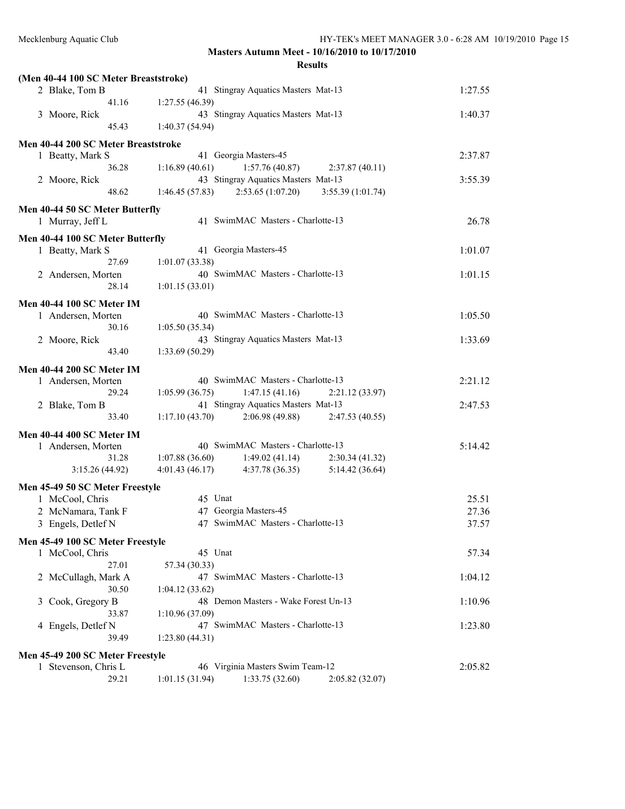| (Men 40-44 100 SC Meter Breaststroke)               |                                                        |         |
|-----------------------------------------------------|--------------------------------------------------------|---------|
| 2 Blake, Tom B                                      | 41 Stingray Aquatics Masters Mat-13                    | 1:27.55 |
| 41.16                                               | 1:27.55(46.39)                                         |         |
| 3 Moore, Rick                                       | 43 Stingray Aquatics Masters Mat-13                    | 1:40.37 |
| 45.43                                               | 1:40.37(54.94)                                         |         |
| Men 40-44 200 SC Meter Breaststroke                 |                                                        |         |
| 1 Beatty, Mark S                                    | 41 Georgia Masters-45                                  | 2:37.87 |
| 36.28                                               | 1:57.76(40.87)<br>1:16.89(40.61)<br>2:37.87(40.11)     |         |
| 2 Moore, Rick                                       | 43 Stingray Aquatics Masters Mat-13                    | 3:55.39 |
| 48.62                                               | 2:53.65(1:07.20)<br>1:46.45(57.83)<br>3:55.39(1:01.74) |         |
|                                                     |                                                        |         |
| Men 40-44 50 SC Meter Butterfly<br>1 Murray, Jeff L | 41 SwimMAC Masters - Charlotte-13                      | 26.78   |
|                                                     |                                                        |         |
| Men 40-44 100 SC Meter Butterfly                    |                                                        |         |
| 1 Beatty, Mark S                                    | 41 Georgia Masters-45                                  | 1:01.07 |
| 27.69                                               | 1:01.07(33.38)                                         |         |
| 2 Andersen, Morten                                  | 40 SwimMAC Masters - Charlotte-13                      | 1:01.15 |
| 28.14                                               | 1:01.15(33.01)                                         |         |
| <b>Men 40-44 100 SC Meter IM</b>                    |                                                        |         |
| 1 Andersen, Morten                                  | 40 SwimMAC Masters - Charlotte-13                      | 1:05.50 |
| 30.16                                               | 1:05.50(35.34)                                         |         |
| 2 Moore, Rick                                       | 43 Stingray Aquatics Masters Mat-13                    | 1:33.69 |
| 43.40                                               | 1:33.69(50.29)                                         |         |
| <b>Men 40-44 200 SC Meter IM</b>                    |                                                        |         |
| 1 Andersen, Morten                                  | 40 SwimMAC Masters - Charlotte-13                      | 2:21.12 |
| 29.24                                               | 1:05.99(36.75)<br>1:47.15(41.16)<br>2:21.12 (33.97)    |         |
| 2 Blake, Tom B                                      | 41 Stingray Aquatics Masters Mat-13                    | 2:47.53 |
| 33.40                                               | 1:17.10(43.70)<br>2:06.98(49.88)<br>2:47.53(40.55)     |         |
| Men 40-44 400 SC Meter IM                           |                                                        |         |
| 1 Andersen, Morten                                  | 40 SwimMAC Masters - Charlotte-13                      | 5:14.42 |
| 31.28                                               | 1:07.88(36.60)<br>1:49.02(41.14)<br>2:30.34(41.32)     |         |
| 3:15.26(44.92)                                      | 4:01.43(46.17)<br>4:37.78(36.35)<br>5:14.42(36.64)     |         |
|                                                     |                                                        |         |
| Men 45-49 50 SC Meter Freestyle                     |                                                        |         |
| 1 McCool, Chris                                     | 45 Unat                                                | 25.51   |
| 2 McNamara, Tank F                                  | 47 Georgia Masters-45                                  | 27.36   |
| 3 Engels, Detlef N                                  | 47 SwimMAC Masters - Charlotte-13                      | 37.57   |
| Men 45-49 100 SC Meter Freestyle                    |                                                        |         |
| 1 McCool, Chris                                     | 45 Unat                                                | 57.34   |
| 27.01                                               | 57.34 (30.33)                                          |         |
| 2 McCullagh, Mark A                                 | 47 SwimMAC Masters - Charlotte-13                      | 1:04.12 |
| 30.50                                               | 1:04.12(33.62)                                         |         |
| 3 Cook, Gregory B                                   | 48 Demon Masters - Wake Forest Un-13                   | 1:10.96 |
| 33.87                                               | 1:10.96 (37.09)                                        |         |
| 4 Engels, Detlef N                                  | 47 SwimMAC Masters - Charlotte-13                      | 1:23.80 |
| 39.49                                               | 1:23.80(44.31)                                         |         |
| Men 45-49 200 SC Meter Freestyle                    |                                                        |         |
| 1 Stevenson, Chris L                                | 46 Virginia Masters Swim Team-12                       | 2:05.82 |
| 29.21                                               | 1:01.15(31.94)<br>1:33.75(32.60)<br>2:05.82(32.07)     |         |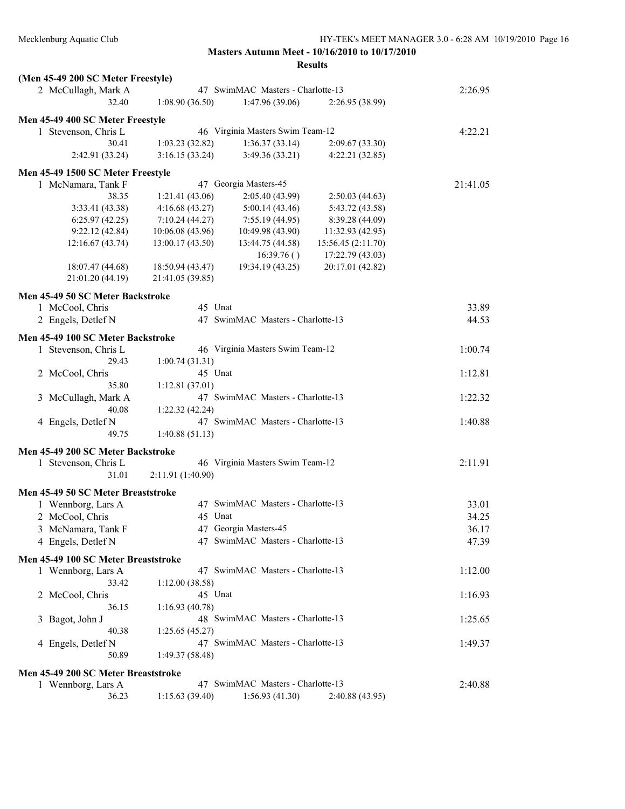| (Men 45-49 200 SC Meter Freestyle)  |                   |                                   |                                  |          |
|-------------------------------------|-------------------|-----------------------------------|----------------------------------|----------|
| 2 McCullagh, Mark A                 |                   | 47 SwimMAC Masters - Charlotte-13 |                                  | 2:26.95  |
| 32.40                               | 1:08.90(36.50)    | 1:47.96(39.06)                    | 2:26.95 (38.99)                  |          |
| Men 45-49 400 SC Meter Freestyle    |                   |                                   |                                  |          |
| 1 Stevenson, Chris L                |                   | 46 Virginia Masters Swim Team-12  |                                  | 4:22.21  |
| 30.41                               | 1:03.23(32.82)    | 1:36.37(33.14)                    |                                  |          |
| 2:42.91 (33.24)                     | 3:16.15(33.24)    | 3:49.36(33.21)                    | 2:09.67(33.30)<br>4:22.21(32.85) |          |
|                                     |                   |                                   |                                  |          |
| Men 45-49 1500 SC Meter Freestyle   |                   |                                   |                                  |          |
| 1 McNamara, Tank F                  |                   | 47 Georgia Masters-45             |                                  | 21:41.05 |
| 38.35                               | 1:21.41(43.06)    | 2:05.40 (43.99)                   | 2:50.03(44.63)                   |          |
| 3:33.41 (43.38)                     | 4:16.68(43.27)    | 5:00.14(43.46)                    | 5:43.72 (43.58)                  |          |
| 6:25.97(42.25)                      | 7:10.24(44.27)    | 7:55.19(44.95)                    | 8:39.28 (44.09)                  |          |
| 9:22.12(42.84)                      | 10:06.08(43.96)   | 10:49.98 (43.90)                  | 11:32.93(42.95)                  |          |
| 12:16.67(43.74)                     | 13:00.17(43.50)   | 13:44.75 (44.58)                  | 15:56.45(2:11.70)                |          |
|                                     |                   | 16:39.76()                        | 17:22.79 (43.03)                 |          |
| 18:07.47 (44.68)                    | 18:50.94 (43.47)  | 19:34.19 (43.25)                  | 20:17.01 (42.82)                 |          |
| 21:01.20 (44.19)                    | 21:41.05 (39.85)  |                                   |                                  |          |
| Men 45-49 50 SC Meter Backstroke    |                   |                                   |                                  |          |
| 1 McCool, Chris                     | 45 Unat           |                                   |                                  | 33.89    |
|                                     |                   | 47 SwimMAC Masters - Charlotte-13 |                                  | 44.53    |
| 2 Engels, Detlef N                  |                   |                                   |                                  |          |
| Men 45-49 100 SC Meter Backstroke   |                   |                                   |                                  |          |
| 1 Stevenson, Chris L                |                   | 46 Virginia Masters Swim Team-12  |                                  | 1:00.74  |
| 29.43                               | 1:00.74(31.31)    |                                   |                                  |          |
| 2 McCool, Chris                     | 45 Unat           |                                   |                                  | 1:12.81  |
| 35.80                               | 1:12.81(37.01)    |                                   |                                  |          |
| 3 McCullagh, Mark A                 |                   | 47 SwimMAC Masters - Charlotte-13 |                                  | 1:22.32  |
| 40.08                               | 1:22.32(42.24)    |                                   |                                  |          |
| 4 Engels, Detlef N                  |                   | 47 SwimMAC Masters - Charlotte-13 |                                  | 1:40.88  |
| 49.75                               | 1:40.88(51.13)    |                                   |                                  |          |
|                                     |                   |                                   |                                  |          |
| Men 45-49 200 SC Meter Backstroke   |                   |                                   |                                  |          |
| 1 Stevenson, Chris L                |                   | 46 Virginia Masters Swim Team-12  |                                  | 2:11.91  |
| 31.01                               | 2:11.91 (1:40.90) |                                   |                                  |          |
| Men 45-49 50 SC Meter Breaststroke  |                   |                                   |                                  |          |
| 1 Wennborg, Lars A                  |                   | 47 SwimMAC Masters - Charlotte-13 |                                  | 33.01    |
| 2 McCool, Chris                     | 45 Unat           |                                   |                                  | 34.25    |
| 3 McNamara, Tank F                  |                   | 47 Georgia Masters-45             |                                  | 36.17    |
| 4 Engels, Detlef N                  |                   | 47 SwimMAC Masters - Charlotte-13 |                                  |          |
|                                     |                   |                                   |                                  | 47.39    |
| Men 45-49 100 SC Meter Breaststroke |                   |                                   |                                  |          |
| 1 Wennborg, Lars A                  |                   | 47 SwimMAC Masters - Charlotte-13 |                                  | 1:12.00  |
| 33.42                               | 1:12.00(38.58)    |                                   |                                  |          |
| 2 McCool, Chris                     | 45 Unat           |                                   |                                  | 1:16.93  |
| 36.15                               | 1:16.93(40.78)    |                                   |                                  |          |
| 3 Bagot, John J                     |                   | 48 SwimMAC Masters - Charlotte-13 |                                  | 1:25.65  |
| 40.38                               | 1:25.65(45.27)    |                                   |                                  |          |
| 4 Engels, Detlef N                  |                   | 47 SwimMAC Masters - Charlotte-13 |                                  | 1:49.37  |
| 50.89                               | 1:49.37(58.48)    |                                   |                                  |          |
|                                     |                   |                                   |                                  |          |
| Men 45-49 200 SC Meter Breaststroke |                   |                                   |                                  |          |
| 1 Wennborg, Lars A                  |                   | 47 SwimMAC Masters - Charlotte-13 |                                  | 2:40.88  |
| 36.23                               | 1:15.63(39.40)    | 1:56.93(41.30)                    | 2:40.88(43.95)                   |          |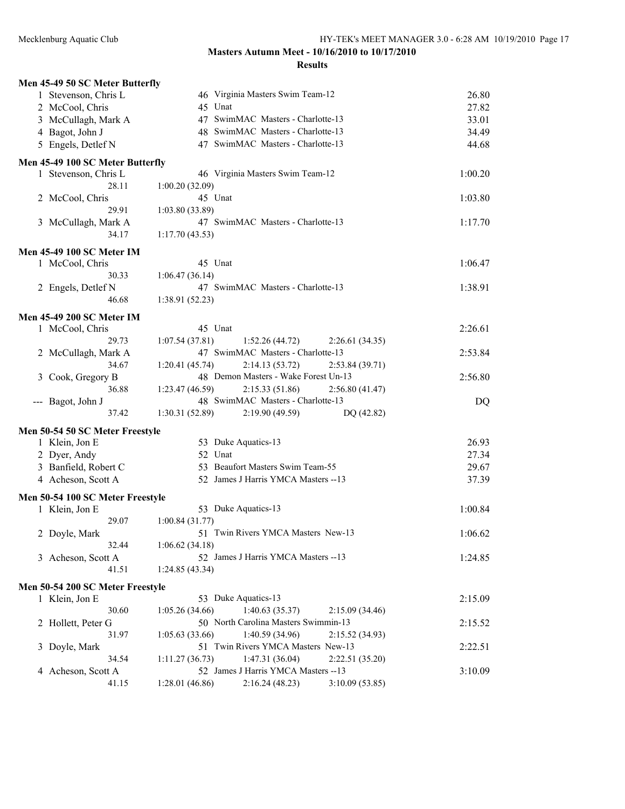| 1 Stevenson, Chris L<br>46 Virginia Masters Swim Team-12<br>26.80<br>45 Unat<br>27.82<br>2 McCool, Chris<br>47 SwimMAC Masters - Charlotte-13<br>3 McCullagh, Mark A<br>33.01<br>4 Bagot, John J<br>48 SwimMAC Masters - Charlotte-13<br>34.49<br>47 SwimMAC Masters - Charlotte-13<br>5 Engels, Detlef N<br>44.68<br>Men 45-49 100 SC Meter Butterfly<br>46 Virginia Masters Swim Team-12<br>1:00.20<br>1 Stevenson, Chris L<br>28.11<br>1:00.20(32.09)<br>45 Unat<br>2 McCool, Chris<br>1:03.80<br>29.91<br>1:03.80(33.89)<br>47 SwimMAC Masters - Charlotte-13<br>3 McCullagh, Mark A<br>1:17.70<br>34.17<br>1:17.70(43.53)<br><b>Men 45-49 100 SC Meter IM</b><br>45 Unat<br>1 McCool, Chris<br>1:06.47<br>30.33<br>1:06.47(36.14)<br>47 SwimMAC Masters - Charlotte-13<br>1:38.91<br>2 Engels, Detlef N<br>1:38.91(52.23)<br>46.68<br><b>Men 45-49 200 SC Meter IM</b><br>45 Unat<br>2:26.61<br>1 McCool, Chris<br>1:07.54(37.81)<br>29.73<br>1:52.26(44.72)<br>2:26.61(34.35)<br>47 SwimMAC Masters - Charlotte-13<br>2:53.84<br>2 McCullagh, Mark A<br>1:20.41(45.74)<br>2:14.13(53.72)<br>34.67<br>2:53.84(39.71)<br>48 Demon Masters - Wake Forest Un-13<br>2:56.80<br>3 Cook, Gregory B<br>36.88<br>1:23.47(46.59)<br>2:15.33(51.86)<br>2:56.80(41.47)<br>48 SwimMAC Masters - Charlotte-13<br>DQ<br>--- Bagot, John J<br>1:30.31(52.89)<br>37.42<br>2:19.90(49.59)<br>DQ (42.82)<br>Men 50-54 50 SC Meter Freestyle<br>53 Duke Aquatics-13<br>26.93<br>1 Klein, Jon E<br>2 Dyer, Andy<br>52 Unat<br>27.34<br>3 Banfield, Robert C<br>53 Beaufort Masters Swim Team-55<br>29.67<br>4 Acheson, Scott A<br>52 James J Harris YMCA Masters -- 13<br>37.39<br>Men 50-54 100 SC Meter Freestyle<br>53 Duke Aquatics-13<br>1:00.84<br>1 Klein, Jon E<br>29.07<br>1:00.84(31.77)<br>51 Twin Rivers YMCA Masters New-13<br>1:06.62<br>2 Doyle, Mark<br>32.44<br>1:06.62(34.18)<br>52 James J Harris YMCA Masters --13<br>3 Acheson, Scott A<br>1:24.85<br>41.51<br>1:24.85(43.34)<br>Men 50-54 200 SC Meter Freestyle<br>53 Duke Aquatics-13<br>1 Klein, Jon E<br>2:15.09<br>30.60<br>1:05.26(34.66)<br>1:40.63(35.37)<br>2:15.09(34.46)<br>50 North Carolina Masters Swimmin-13<br>2 Hollett, Peter G<br>2:15.52<br>1:40.59(34.96)<br>31.97<br>1:05.63(33.66)<br>2:15.52(34.93)<br>51 Twin Rivers YMCA Masters New-13<br>3 Doyle, Mark<br>2:22.51<br>1:47.31(36.04)<br>34.54<br>1:11.27(36.73)<br>2:22.51(35.20)<br>52 James J Harris YMCA Masters -- 13<br>3:10.09<br>Acheson, Scott A<br>4 | Men 45-49 50 SC Meter Butterfly |                                                    |  |
|-------------------------------------------------------------------------------------------------------------------------------------------------------------------------------------------------------------------------------------------------------------------------------------------------------------------------------------------------------------------------------------------------------------------------------------------------------------------------------------------------------------------------------------------------------------------------------------------------------------------------------------------------------------------------------------------------------------------------------------------------------------------------------------------------------------------------------------------------------------------------------------------------------------------------------------------------------------------------------------------------------------------------------------------------------------------------------------------------------------------------------------------------------------------------------------------------------------------------------------------------------------------------------------------------------------------------------------------------------------------------------------------------------------------------------------------------------------------------------------------------------------------------------------------------------------------------------------------------------------------------------------------------------------------------------------------------------------------------------------------------------------------------------------------------------------------------------------------------------------------------------------------------------------------------------------------------------------------------------------------------------------------------------------------------------------------------------------------------------------------------------------------------------------------------------------------------------------------------------------------------------------------------------------------------------------------------------------------------------------------------------------------------------------------------------------------------------------------------------------------------|---------------------------------|----------------------------------------------------|--|
|                                                                                                                                                                                                                                                                                                                                                                                                                                                                                                                                                                                                                                                                                                                                                                                                                                                                                                                                                                                                                                                                                                                                                                                                                                                                                                                                                                                                                                                                                                                                                                                                                                                                                                                                                                                                                                                                                                                                                                                                                                                                                                                                                                                                                                                                                                                                                                                                                                                                                                 |                                 |                                                    |  |
|                                                                                                                                                                                                                                                                                                                                                                                                                                                                                                                                                                                                                                                                                                                                                                                                                                                                                                                                                                                                                                                                                                                                                                                                                                                                                                                                                                                                                                                                                                                                                                                                                                                                                                                                                                                                                                                                                                                                                                                                                                                                                                                                                                                                                                                                                                                                                                                                                                                                                                 |                                 |                                                    |  |
|                                                                                                                                                                                                                                                                                                                                                                                                                                                                                                                                                                                                                                                                                                                                                                                                                                                                                                                                                                                                                                                                                                                                                                                                                                                                                                                                                                                                                                                                                                                                                                                                                                                                                                                                                                                                                                                                                                                                                                                                                                                                                                                                                                                                                                                                                                                                                                                                                                                                                                 |                                 |                                                    |  |
|                                                                                                                                                                                                                                                                                                                                                                                                                                                                                                                                                                                                                                                                                                                                                                                                                                                                                                                                                                                                                                                                                                                                                                                                                                                                                                                                                                                                                                                                                                                                                                                                                                                                                                                                                                                                                                                                                                                                                                                                                                                                                                                                                                                                                                                                                                                                                                                                                                                                                                 |                                 |                                                    |  |
|                                                                                                                                                                                                                                                                                                                                                                                                                                                                                                                                                                                                                                                                                                                                                                                                                                                                                                                                                                                                                                                                                                                                                                                                                                                                                                                                                                                                                                                                                                                                                                                                                                                                                                                                                                                                                                                                                                                                                                                                                                                                                                                                                                                                                                                                                                                                                                                                                                                                                                 |                                 |                                                    |  |
|                                                                                                                                                                                                                                                                                                                                                                                                                                                                                                                                                                                                                                                                                                                                                                                                                                                                                                                                                                                                                                                                                                                                                                                                                                                                                                                                                                                                                                                                                                                                                                                                                                                                                                                                                                                                                                                                                                                                                                                                                                                                                                                                                                                                                                                                                                                                                                                                                                                                                                 |                                 |                                                    |  |
|                                                                                                                                                                                                                                                                                                                                                                                                                                                                                                                                                                                                                                                                                                                                                                                                                                                                                                                                                                                                                                                                                                                                                                                                                                                                                                                                                                                                                                                                                                                                                                                                                                                                                                                                                                                                                                                                                                                                                                                                                                                                                                                                                                                                                                                                                                                                                                                                                                                                                                 |                                 |                                                    |  |
|                                                                                                                                                                                                                                                                                                                                                                                                                                                                                                                                                                                                                                                                                                                                                                                                                                                                                                                                                                                                                                                                                                                                                                                                                                                                                                                                                                                                                                                                                                                                                                                                                                                                                                                                                                                                                                                                                                                                                                                                                                                                                                                                                                                                                                                                                                                                                                                                                                                                                                 |                                 |                                                    |  |
|                                                                                                                                                                                                                                                                                                                                                                                                                                                                                                                                                                                                                                                                                                                                                                                                                                                                                                                                                                                                                                                                                                                                                                                                                                                                                                                                                                                                                                                                                                                                                                                                                                                                                                                                                                                                                                                                                                                                                                                                                                                                                                                                                                                                                                                                                                                                                                                                                                                                                                 |                                 |                                                    |  |
|                                                                                                                                                                                                                                                                                                                                                                                                                                                                                                                                                                                                                                                                                                                                                                                                                                                                                                                                                                                                                                                                                                                                                                                                                                                                                                                                                                                                                                                                                                                                                                                                                                                                                                                                                                                                                                                                                                                                                                                                                                                                                                                                                                                                                                                                                                                                                                                                                                                                                                 |                                 |                                                    |  |
|                                                                                                                                                                                                                                                                                                                                                                                                                                                                                                                                                                                                                                                                                                                                                                                                                                                                                                                                                                                                                                                                                                                                                                                                                                                                                                                                                                                                                                                                                                                                                                                                                                                                                                                                                                                                                                                                                                                                                                                                                                                                                                                                                                                                                                                                                                                                                                                                                                                                                                 |                                 |                                                    |  |
|                                                                                                                                                                                                                                                                                                                                                                                                                                                                                                                                                                                                                                                                                                                                                                                                                                                                                                                                                                                                                                                                                                                                                                                                                                                                                                                                                                                                                                                                                                                                                                                                                                                                                                                                                                                                                                                                                                                                                                                                                                                                                                                                                                                                                                                                                                                                                                                                                                                                                                 |                                 |                                                    |  |
|                                                                                                                                                                                                                                                                                                                                                                                                                                                                                                                                                                                                                                                                                                                                                                                                                                                                                                                                                                                                                                                                                                                                                                                                                                                                                                                                                                                                                                                                                                                                                                                                                                                                                                                                                                                                                                                                                                                                                                                                                                                                                                                                                                                                                                                                                                                                                                                                                                                                                                 |                                 |                                                    |  |
|                                                                                                                                                                                                                                                                                                                                                                                                                                                                                                                                                                                                                                                                                                                                                                                                                                                                                                                                                                                                                                                                                                                                                                                                                                                                                                                                                                                                                                                                                                                                                                                                                                                                                                                                                                                                                                                                                                                                                                                                                                                                                                                                                                                                                                                                                                                                                                                                                                                                                                 |                                 |                                                    |  |
|                                                                                                                                                                                                                                                                                                                                                                                                                                                                                                                                                                                                                                                                                                                                                                                                                                                                                                                                                                                                                                                                                                                                                                                                                                                                                                                                                                                                                                                                                                                                                                                                                                                                                                                                                                                                                                                                                                                                                                                                                                                                                                                                                                                                                                                                                                                                                                                                                                                                                                 |                                 |                                                    |  |
|                                                                                                                                                                                                                                                                                                                                                                                                                                                                                                                                                                                                                                                                                                                                                                                                                                                                                                                                                                                                                                                                                                                                                                                                                                                                                                                                                                                                                                                                                                                                                                                                                                                                                                                                                                                                                                                                                                                                                                                                                                                                                                                                                                                                                                                                                                                                                                                                                                                                                                 |                                 |                                                    |  |
|                                                                                                                                                                                                                                                                                                                                                                                                                                                                                                                                                                                                                                                                                                                                                                                                                                                                                                                                                                                                                                                                                                                                                                                                                                                                                                                                                                                                                                                                                                                                                                                                                                                                                                                                                                                                                                                                                                                                                                                                                                                                                                                                                                                                                                                                                                                                                                                                                                                                                                 |                                 |                                                    |  |
|                                                                                                                                                                                                                                                                                                                                                                                                                                                                                                                                                                                                                                                                                                                                                                                                                                                                                                                                                                                                                                                                                                                                                                                                                                                                                                                                                                                                                                                                                                                                                                                                                                                                                                                                                                                                                                                                                                                                                                                                                                                                                                                                                                                                                                                                                                                                                                                                                                                                                                 |                                 |                                                    |  |
|                                                                                                                                                                                                                                                                                                                                                                                                                                                                                                                                                                                                                                                                                                                                                                                                                                                                                                                                                                                                                                                                                                                                                                                                                                                                                                                                                                                                                                                                                                                                                                                                                                                                                                                                                                                                                                                                                                                                                                                                                                                                                                                                                                                                                                                                                                                                                                                                                                                                                                 |                                 |                                                    |  |
|                                                                                                                                                                                                                                                                                                                                                                                                                                                                                                                                                                                                                                                                                                                                                                                                                                                                                                                                                                                                                                                                                                                                                                                                                                                                                                                                                                                                                                                                                                                                                                                                                                                                                                                                                                                                                                                                                                                                                                                                                                                                                                                                                                                                                                                                                                                                                                                                                                                                                                 |                                 |                                                    |  |
|                                                                                                                                                                                                                                                                                                                                                                                                                                                                                                                                                                                                                                                                                                                                                                                                                                                                                                                                                                                                                                                                                                                                                                                                                                                                                                                                                                                                                                                                                                                                                                                                                                                                                                                                                                                                                                                                                                                                                                                                                                                                                                                                                                                                                                                                                                                                                                                                                                                                                                 |                                 |                                                    |  |
|                                                                                                                                                                                                                                                                                                                                                                                                                                                                                                                                                                                                                                                                                                                                                                                                                                                                                                                                                                                                                                                                                                                                                                                                                                                                                                                                                                                                                                                                                                                                                                                                                                                                                                                                                                                                                                                                                                                                                                                                                                                                                                                                                                                                                                                                                                                                                                                                                                                                                                 |                                 |                                                    |  |
|                                                                                                                                                                                                                                                                                                                                                                                                                                                                                                                                                                                                                                                                                                                                                                                                                                                                                                                                                                                                                                                                                                                                                                                                                                                                                                                                                                                                                                                                                                                                                                                                                                                                                                                                                                                                                                                                                                                                                                                                                                                                                                                                                                                                                                                                                                                                                                                                                                                                                                 |                                 |                                                    |  |
|                                                                                                                                                                                                                                                                                                                                                                                                                                                                                                                                                                                                                                                                                                                                                                                                                                                                                                                                                                                                                                                                                                                                                                                                                                                                                                                                                                                                                                                                                                                                                                                                                                                                                                                                                                                                                                                                                                                                                                                                                                                                                                                                                                                                                                                                                                                                                                                                                                                                                                 |                                 |                                                    |  |
|                                                                                                                                                                                                                                                                                                                                                                                                                                                                                                                                                                                                                                                                                                                                                                                                                                                                                                                                                                                                                                                                                                                                                                                                                                                                                                                                                                                                                                                                                                                                                                                                                                                                                                                                                                                                                                                                                                                                                                                                                                                                                                                                                                                                                                                                                                                                                                                                                                                                                                 |                                 |                                                    |  |
|                                                                                                                                                                                                                                                                                                                                                                                                                                                                                                                                                                                                                                                                                                                                                                                                                                                                                                                                                                                                                                                                                                                                                                                                                                                                                                                                                                                                                                                                                                                                                                                                                                                                                                                                                                                                                                                                                                                                                                                                                                                                                                                                                                                                                                                                                                                                                                                                                                                                                                 |                                 |                                                    |  |
|                                                                                                                                                                                                                                                                                                                                                                                                                                                                                                                                                                                                                                                                                                                                                                                                                                                                                                                                                                                                                                                                                                                                                                                                                                                                                                                                                                                                                                                                                                                                                                                                                                                                                                                                                                                                                                                                                                                                                                                                                                                                                                                                                                                                                                                                                                                                                                                                                                                                                                 |                                 |                                                    |  |
|                                                                                                                                                                                                                                                                                                                                                                                                                                                                                                                                                                                                                                                                                                                                                                                                                                                                                                                                                                                                                                                                                                                                                                                                                                                                                                                                                                                                                                                                                                                                                                                                                                                                                                                                                                                                                                                                                                                                                                                                                                                                                                                                                                                                                                                                                                                                                                                                                                                                                                 |                                 |                                                    |  |
|                                                                                                                                                                                                                                                                                                                                                                                                                                                                                                                                                                                                                                                                                                                                                                                                                                                                                                                                                                                                                                                                                                                                                                                                                                                                                                                                                                                                                                                                                                                                                                                                                                                                                                                                                                                                                                                                                                                                                                                                                                                                                                                                                                                                                                                                                                                                                                                                                                                                                                 |                                 |                                                    |  |
|                                                                                                                                                                                                                                                                                                                                                                                                                                                                                                                                                                                                                                                                                                                                                                                                                                                                                                                                                                                                                                                                                                                                                                                                                                                                                                                                                                                                                                                                                                                                                                                                                                                                                                                                                                                                                                                                                                                                                                                                                                                                                                                                                                                                                                                                                                                                                                                                                                                                                                 |                                 |                                                    |  |
|                                                                                                                                                                                                                                                                                                                                                                                                                                                                                                                                                                                                                                                                                                                                                                                                                                                                                                                                                                                                                                                                                                                                                                                                                                                                                                                                                                                                                                                                                                                                                                                                                                                                                                                                                                                                                                                                                                                                                                                                                                                                                                                                                                                                                                                                                                                                                                                                                                                                                                 |                                 |                                                    |  |
|                                                                                                                                                                                                                                                                                                                                                                                                                                                                                                                                                                                                                                                                                                                                                                                                                                                                                                                                                                                                                                                                                                                                                                                                                                                                                                                                                                                                                                                                                                                                                                                                                                                                                                                                                                                                                                                                                                                                                                                                                                                                                                                                                                                                                                                                                                                                                                                                                                                                                                 |                                 |                                                    |  |
|                                                                                                                                                                                                                                                                                                                                                                                                                                                                                                                                                                                                                                                                                                                                                                                                                                                                                                                                                                                                                                                                                                                                                                                                                                                                                                                                                                                                                                                                                                                                                                                                                                                                                                                                                                                                                                                                                                                                                                                                                                                                                                                                                                                                                                                                                                                                                                                                                                                                                                 |                                 |                                                    |  |
|                                                                                                                                                                                                                                                                                                                                                                                                                                                                                                                                                                                                                                                                                                                                                                                                                                                                                                                                                                                                                                                                                                                                                                                                                                                                                                                                                                                                                                                                                                                                                                                                                                                                                                                                                                                                                                                                                                                                                                                                                                                                                                                                                                                                                                                                                                                                                                                                                                                                                                 |                                 |                                                    |  |
|                                                                                                                                                                                                                                                                                                                                                                                                                                                                                                                                                                                                                                                                                                                                                                                                                                                                                                                                                                                                                                                                                                                                                                                                                                                                                                                                                                                                                                                                                                                                                                                                                                                                                                                                                                                                                                                                                                                                                                                                                                                                                                                                                                                                                                                                                                                                                                                                                                                                                                 |                                 |                                                    |  |
|                                                                                                                                                                                                                                                                                                                                                                                                                                                                                                                                                                                                                                                                                                                                                                                                                                                                                                                                                                                                                                                                                                                                                                                                                                                                                                                                                                                                                                                                                                                                                                                                                                                                                                                                                                                                                                                                                                                                                                                                                                                                                                                                                                                                                                                                                                                                                                                                                                                                                                 |                                 |                                                    |  |
|                                                                                                                                                                                                                                                                                                                                                                                                                                                                                                                                                                                                                                                                                                                                                                                                                                                                                                                                                                                                                                                                                                                                                                                                                                                                                                                                                                                                                                                                                                                                                                                                                                                                                                                                                                                                                                                                                                                                                                                                                                                                                                                                                                                                                                                                                                                                                                                                                                                                                                 |                                 |                                                    |  |
|                                                                                                                                                                                                                                                                                                                                                                                                                                                                                                                                                                                                                                                                                                                                                                                                                                                                                                                                                                                                                                                                                                                                                                                                                                                                                                                                                                                                                                                                                                                                                                                                                                                                                                                                                                                                                                                                                                                                                                                                                                                                                                                                                                                                                                                                                                                                                                                                                                                                                                 |                                 |                                                    |  |
|                                                                                                                                                                                                                                                                                                                                                                                                                                                                                                                                                                                                                                                                                                                                                                                                                                                                                                                                                                                                                                                                                                                                                                                                                                                                                                                                                                                                                                                                                                                                                                                                                                                                                                                                                                                                                                                                                                                                                                                                                                                                                                                                                                                                                                                                                                                                                                                                                                                                                                 |                                 |                                                    |  |
|                                                                                                                                                                                                                                                                                                                                                                                                                                                                                                                                                                                                                                                                                                                                                                                                                                                                                                                                                                                                                                                                                                                                                                                                                                                                                                                                                                                                                                                                                                                                                                                                                                                                                                                                                                                                                                                                                                                                                                                                                                                                                                                                                                                                                                                                                                                                                                                                                                                                                                 |                                 |                                                    |  |
|                                                                                                                                                                                                                                                                                                                                                                                                                                                                                                                                                                                                                                                                                                                                                                                                                                                                                                                                                                                                                                                                                                                                                                                                                                                                                                                                                                                                                                                                                                                                                                                                                                                                                                                                                                                                                                                                                                                                                                                                                                                                                                                                                                                                                                                                                                                                                                                                                                                                                                 |                                 |                                                    |  |
|                                                                                                                                                                                                                                                                                                                                                                                                                                                                                                                                                                                                                                                                                                                                                                                                                                                                                                                                                                                                                                                                                                                                                                                                                                                                                                                                                                                                                                                                                                                                                                                                                                                                                                                                                                                                                                                                                                                                                                                                                                                                                                                                                                                                                                                                                                                                                                                                                                                                                                 |                                 |                                                    |  |
|                                                                                                                                                                                                                                                                                                                                                                                                                                                                                                                                                                                                                                                                                                                                                                                                                                                                                                                                                                                                                                                                                                                                                                                                                                                                                                                                                                                                                                                                                                                                                                                                                                                                                                                                                                                                                                                                                                                                                                                                                                                                                                                                                                                                                                                                                                                                                                                                                                                                                                 |                                 |                                                    |  |
|                                                                                                                                                                                                                                                                                                                                                                                                                                                                                                                                                                                                                                                                                                                                                                                                                                                                                                                                                                                                                                                                                                                                                                                                                                                                                                                                                                                                                                                                                                                                                                                                                                                                                                                                                                                                                                                                                                                                                                                                                                                                                                                                                                                                                                                                                                                                                                                                                                                                                                 |                                 |                                                    |  |
|                                                                                                                                                                                                                                                                                                                                                                                                                                                                                                                                                                                                                                                                                                                                                                                                                                                                                                                                                                                                                                                                                                                                                                                                                                                                                                                                                                                                                                                                                                                                                                                                                                                                                                                                                                                                                                                                                                                                                                                                                                                                                                                                                                                                                                                                                                                                                                                                                                                                                                 |                                 |                                                    |  |
|                                                                                                                                                                                                                                                                                                                                                                                                                                                                                                                                                                                                                                                                                                                                                                                                                                                                                                                                                                                                                                                                                                                                                                                                                                                                                                                                                                                                                                                                                                                                                                                                                                                                                                                                                                                                                                                                                                                                                                                                                                                                                                                                                                                                                                                                                                                                                                                                                                                                                                 |                                 |                                                    |  |
| 41.15                                                                                                                                                                                                                                                                                                                                                                                                                                                                                                                                                                                                                                                                                                                                                                                                                                                                                                                                                                                                                                                                                                                                                                                                                                                                                                                                                                                                                                                                                                                                                                                                                                                                                                                                                                                                                                                                                                                                                                                                                                                                                                                                                                                                                                                                                                                                                                                                                                                                                           |                                 | 1:28.01(46.86)<br>2:16.24(48.23)<br>3:10.09(53.85) |  |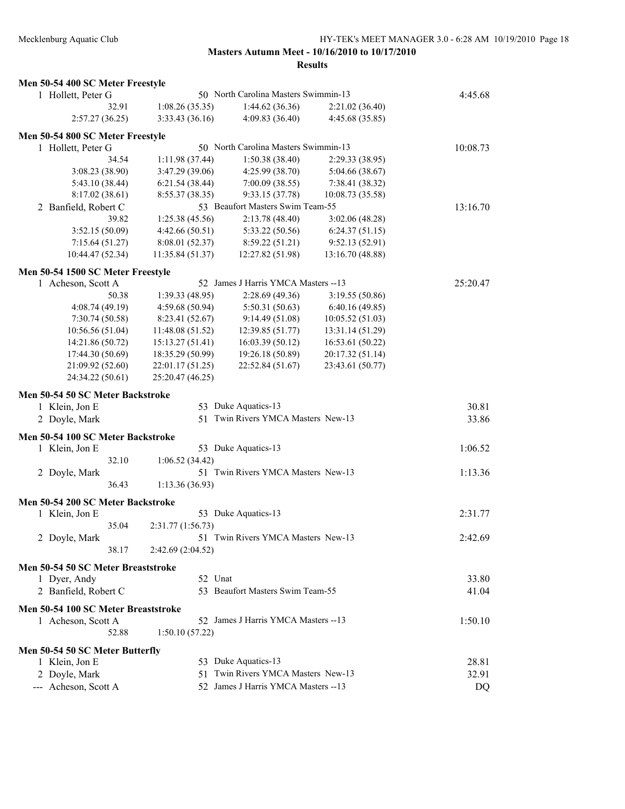| Men 50-54 400 SC Meter Freestyle    |                   |                                      |                  |          |
|-------------------------------------|-------------------|--------------------------------------|------------------|----------|
| 1 Hollett, Peter G                  |                   | 50 North Carolina Masters Swimmin-13 |                  | 4:45.68  |
| 32.91                               | 1:08.26(35.35)    | 1:44.62(36.36)                       | 2:21.02 (36.40)  |          |
| 2:57.27(36.25)                      | 3:33.43(36.16)    | 4:09.83(36.40)                       | 4:45.68 (35.85)  |          |
| Men 50-54 800 SC Meter Freestyle    |                   |                                      |                  |          |
| 1 Hollett, Peter G                  |                   | 50 North Carolina Masters Swimmin-13 |                  | 10:08.73 |
| 34.54                               | 1:11.98(37.44)    | 1:50.38(38.40)                       | 2:29.33(38.95)   |          |
| 3:08.23 (38.90)                     | 3:47.29 (39.06)   | 4:25.99 (38.70)                      | 5:04.66(38.67)   |          |
| 5:43.10 (38.44)                     | 6:21.54(38.44)    | 7:00.09(38.55)                       | 7:38.41 (38.32)  |          |
| 8:17.02(38.61)                      | 8:55.37 (38.35)   | 9:33.15 (37.78)                      | 10:08.73 (35.58) |          |
| 2 Banfield, Robert C                |                   | 53 Beaufort Masters Swim Team-55     |                  | 13:16.70 |
| 39.82                               | 1:25.38(45.56)    | 2:13.78 (48.40)                      | 3:02.06(48.28)   |          |
| 3:52.15(50.09)                      | 4:42.66(50.51)    | 5:33.22 (50.56)                      | 6:24.37(51.15)   |          |
| 7:15.64(51.27)                      | 8:08.01(52.37)    | 8:59.22(51.21)                       | 9:52.13(52.91)   |          |
| 10:44.47 (52.34)                    | 11:35.84 (51.37)  | 12:27.82 (51.98)                     | 13:16.70 (48.88) |          |
| Men 50-54 1500 SC Meter Freestyle   |                   |                                      |                  |          |
| 1 Acheson, Scott A                  |                   | 52 James J Harris YMCA Masters -- 13 |                  | 25:20.47 |
| 50.38                               | 1:39.33(48.95)    | 2:28.69(49.36)                       | 3:19.55(50.86)   |          |
| 4:08.74(49.19)                      | 4:59.68 (50.94)   | 5:50.31(50.63)                       | 6:40.16(49.85)   |          |
| 7:30.74 (50.58)                     | 8:23.41 (52.67)   | 9:14.49(51.08)                       | 10:05.52(51.03)  |          |
| 10:56.56(51.04)                     | 11:48.08 (51.52)  | 12:39.85 (51.77)                     | 13:31.14 (51.29) |          |
| 14:21.86 (50.72)                    | 15:13.27 (51.41)  | 16:03.39 (50.12)                     | 16:53.61 (50.22) |          |
| 17:44.30 (50.69)                    | 18:35.29 (50.99)  | 19:26.18 (50.89)                     | 20:17.32 (51.14) |          |
| 21:09.92 (52.60)                    | 22:01.17 (51.25)  | 22:52.84 (51.67)                     | 23:43.61 (50.77) |          |
| 24:34.22 (50.61)                    | 25:20.47 (46.25)  |                                      |                  |          |
|                                     |                   |                                      |                  |          |
|                                     |                   |                                      |                  |          |
| Men 50-54 50 SC Meter Backstroke    |                   |                                      |                  |          |
| 1 Klein, Jon E                      |                   | 53 Duke Aquatics-13                  |                  | 30.81    |
| 2 Doyle, Mark                       |                   | 51 Twin Rivers YMCA Masters New-13   |                  | 33.86    |
| Men 50-54 100 SC Meter Backstroke   |                   |                                      |                  |          |
| 1 Klein, Jon E                      |                   | 53 Duke Aquatics-13                  |                  | 1:06.52  |
| 32.10                               | 1:06.52(34.42)    |                                      |                  |          |
| 2 Doyle, Mark                       |                   | 51 Twin Rivers YMCA Masters New-13   |                  | 1:13.36  |
| 36.43                               | 1:13.36 (36.93)   |                                      |                  |          |
|                                     |                   |                                      |                  |          |
| Men 50-54 200 SC Meter Backstroke   |                   |                                      |                  |          |
| 1 Klein, Jon E<br>35.04             |                   | 53 Duke Aquatics-13                  |                  | 2:31.77  |
|                                     | 2:31.77 (1:56.73) |                                      |                  |          |
| 2 Doyle, Mark<br>38.17              | 2:42.69(2:04.52)  | 51 Twin Rivers YMCA Masters New-13   |                  | 2:42.69  |
|                                     |                   |                                      |                  |          |
| Men 50-54 50 SC Meter Breaststroke  |                   |                                      |                  |          |
| 1 Dyer, Andy                        | 52 Unat           |                                      |                  | 33.80    |
| 2 Banfield, Robert C                |                   | 53 Beaufort Masters Swim Team-55     |                  | 41.04    |
| Men 50-54 100 SC Meter Breaststroke |                   |                                      |                  |          |
| 1 Acheson, Scott A                  |                   | 52 James J Harris YMCA Masters --13  |                  | 1:50.10  |
| 52.88                               | 1:50.10(57.22)    |                                      |                  |          |
| Men 50-54 50 SC Meter Butterfly     |                   |                                      |                  |          |
| 1 Klein, Jon E                      |                   | 53 Duke Aquatics-13                  |                  | 28.81    |
| 2 Doyle, Mark                       |                   | 51 Twin Rivers YMCA Masters New-13   |                  | 32.91    |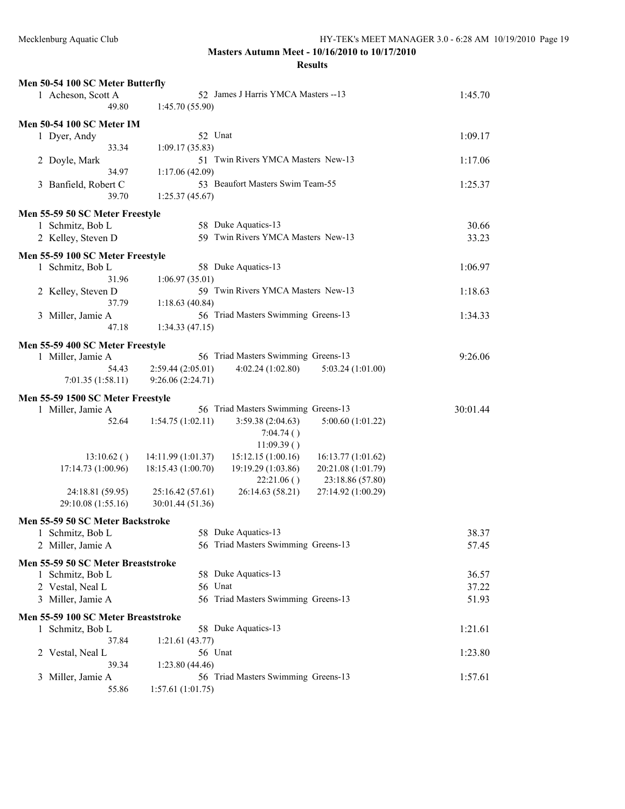| Men 50-54 100 SC Meter Butterfly    |                                                                |          |
|-------------------------------------|----------------------------------------------------------------|----------|
| 1 Acheson, Scott A                  | 1:45.70                                                        |          |
| 49.80                               | 1:45.70(55.90)                                                 |          |
| <b>Men 50-54 100 SC Meter IM</b>    |                                                                |          |
| 1 Dyer, Andy                        | 52 Unat                                                        | 1:09.17  |
| 33.34                               | 1:09.17(35.83)                                                 |          |
| 2 Doyle, Mark                       | 51 Twin Rivers YMCA Masters New-13                             | 1:17.06  |
| 34.97                               | 1:17.06(42.09)                                                 |          |
| 3 Banfield, Robert C                | 53 Beaufort Masters Swim Team-55                               | 1:25.37  |
| 39.70                               | 1:25.37(45.67)                                                 |          |
| Men 55-59 50 SC Meter Freestyle     |                                                                |          |
| 1 Schmitz, Bob L                    | 58 Duke Aquatics-13                                            | 30.66    |
| 2 Kelley, Steven D                  | 59 Twin Rivers YMCA Masters New-13                             | 33.23    |
|                                     |                                                                |          |
| Men 55-59 100 SC Meter Freestyle    |                                                                |          |
| 1 Schmitz, Bob L                    | 58 Duke Aquatics-13                                            | 1:06.97  |
| 31.96                               | 1:06.97(35.01)                                                 |          |
| 2 Kelley, Steven D                  | 59 Twin Rivers YMCA Masters New-13                             | 1:18.63  |
| 37.79                               | 1:18.63(40.84)                                                 |          |
| 3 Miller, Jamie A                   | 56 Triad Masters Swimming Greens-13                            | 1:34.33  |
| 47.18                               | 1:34.33(47.15)                                                 |          |
| Men 55-59 400 SC Meter Freestyle    |                                                                |          |
| 1 Miller, Jamie A                   | 56 Triad Masters Swimming Greens-13                            | 9:26.06  |
| 54.43                               | 2:59.44 (2:05.01)<br>4:02.24(1:02.80)<br>5:03.24 (1:01.00)     |          |
| 7:01.35(1:58.11)                    | 9:26.06 (2:24.71)                                              |          |
| Men 55-59 1500 SC Meter Freestyle   |                                                                |          |
| 1 Miller, Jamie A                   | 56 Triad Masters Swimming Greens-13                            | 30:01.44 |
| 52.64                               | 1:54.75(1:02.11)<br>3:59.38 (2:04.63)<br>5:00.60 (1:01.22)     |          |
|                                     | 7:04.74()                                                      |          |
|                                     | 11:09.39()                                                     |          |
| 13:10.62()                          | 15:12.15 (1:00.16)<br>14:11.99 (1:01.37)<br>16:13.77(1:01.62)  |          |
| 17:14.73 (1:00.96)                  | 18:15.43 (1:00.70)<br>19:19.29 (1:03.86)<br>20:21.08 (1:01.79) |          |
|                                     | 22:21.06()<br>23:18.86 (57.80)                                 |          |
| 24:18.81 (59.95)                    | 26:14.63 (58.21)<br>25:16.42 (57.61)<br>27:14.92 (1:00.29)     |          |
| 29:10.08 (1:55.16)                  | 30:01.44 (51.36)                                               |          |
| Men 55-59 50 SC Meter Backstroke    |                                                                |          |
| 1 Schmitz, Bob L                    | 58 Duke Aquatics-13                                            | 38.37    |
| 2 Miller, Jamie A                   | 56 Triad Masters Swimming Greens-13                            | 57.45    |
| Men 55-59 50 SC Meter Breaststroke  |                                                                |          |
| 1 Schmitz, Bob L                    | 58 Duke Aquatics-13                                            | 36.57    |
| 2 Vestal, Neal L                    | 56 Unat                                                        | 37.22    |
| 3 Miller, Jamie A                   | 56 Triad Masters Swimming Greens-13                            | 51.93    |
|                                     |                                                                |          |
| Men 55-59 100 SC Meter Breaststroke |                                                                |          |
| 1 Schmitz, Bob L                    | 58 Duke Aquatics-13                                            | 1:21.61  |
| 37.84                               | 1:21.61(43.77)                                                 |          |
| 2 Vestal, Neal L<br>39.34           | 56 Unat                                                        | 1:23.80  |
| Miller, Jamie A<br>3                | 1:23.80(44.46)<br>56 Triad Masters Swimming Greens-13          | 1:57.61  |
| 55.86                               | 1:57.61(1:01.75)                                               |          |
|                                     |                                                                |          |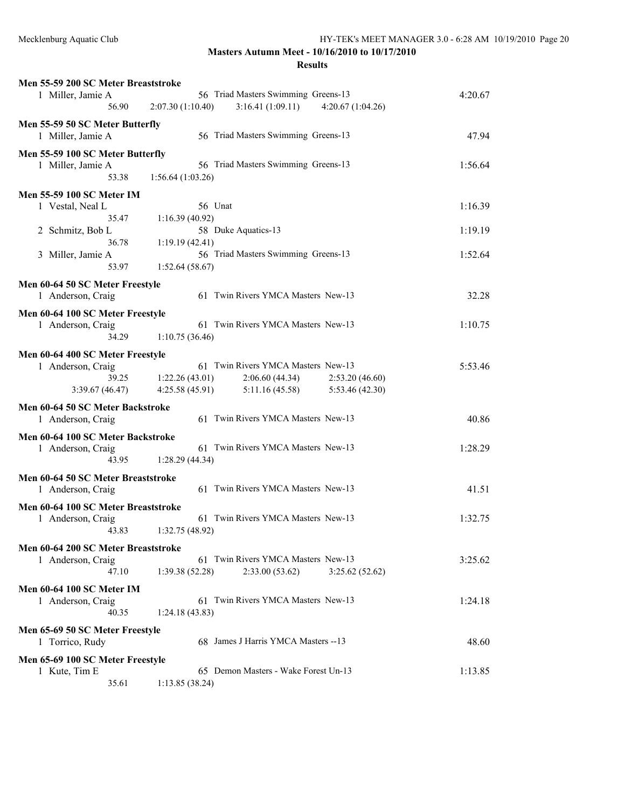| Men 55-59 200 SC Meter Breaststroke                |                  |                                      |                  |         |
|----------------------------------------------------|------------------|--------------------------------------|------------------|---------|
| 1 Miller, Jamie A                                  |                  | 56 Triad Masters Swimming Greens-13  |                  | 4:20.67 |
| 56.90                                              | 2:07.30(1:10.40) | 3:16.41(1:09.11)                     | 4:20.67(1:04.26) |         |
| Men 55-59 50 SC Meter Butterfly                    |                  |                                      |                  |         |
| 1 Miller, Jamie A                                  |                  | 56 Triad Masters Swimming Greens-13  |                  | 47.94   |
|                                                    |                  |                                      |                  |         |
| Men 55-59 100 SC Meter Butterfly                   |                  |                                      |                  |         |
| 1 Miller, Jamie A                                  |                  | 56 Triad Masters Swimming Greens-13  |                  | 1:56.64 |
| 53.38                                              | 1:56.64(1:03.26) |                                      |                  |         |
| <b>Men 55-59 100 SC Meter IM</b>                   |                  |                                      |                  |         |
| 1 Vestal, Neal L                                   | 56 Unat          |                                      |                  | 1:16.39 |
| 35.47                                              | 1:16.39(40.92)   |                                      |                  |         |
| 2 Schmitz, Bob L                                   |                  | 58 Duke Aquatics-13                  |                  | 1:19.19 |
| 36.78                                              | 1:19.19(42.41)   |                                      |                  |         |
| 3 Miller, Jamie A                                  |                  | 56 Triad Masters Swimming Greens-13  |                  | 1:52.64 |
| 53.97                                              | 1:52.64(58.67)   |                                      |                  |         |
|                                                    |                  |                                      |                  |         |
| Men 60-64 50 SC Meter Freestyle                    |                  |                                      |                  |         |
| 1 Anderson, Craig                                  |                  | 61 Twin Rivers YMCA Masters New-13   |                  | 32.28   |
| Men 60-64 100 SC Meter Freestyle                   |                  |                                      |                  |         |
| 1 Anderson, Craig                                  |                  | 61 Twin Rivers YMCA Masters New-13   |                  | 1:10.75 |
| 34.29                                              | 1:10.75(36.46)   |                                      |                  |         |
|                                                    |                  |                                      |                  |         |
| Men 60-64 400 SC Meter Freestyle                   |                  | 61 Twin Rivers YMCA Masters New-13   |                  | 5:53.46 |
| 1 Anderson, Craig<br>39.25                         |                  |                                      |                  |         |
|                                                    | 1:22.26(43.01)   | 2:06.60(44.34)                       | 2:53.20(46.60)   |         |
| 3:39.67(46.47)                                     | 4:25.58(45.91)   | 5:11.16(45.58)                       | 5:53.46(42.30)   |         |
| Men 60-64 50 SC Meter Backstroke                   |                  |                                      |                  |         |
| 1 Anderson, Craig                                  |                  | 61 Twin Rivers YMCA Masters New-13   |                  | 40.86   |
| Men 60-64 100 SC Meter Backstroke                  |                  |                                      |                  |         |
| 1 Anderson, Craig                                  |                  | 61 Twin Rivers YMCA Masters New-13   |                  | 1:28.29 |
| 43.95                                              | 1:28.29(44.34)   |                                      |                  |         |
|                                                    |                  |                                      |                  |         |
| Men 60-64 50 SC Meter Breaststroke                 |                  |                                      |                  |         |
| 1 Anderson, Craig                                  |                  | 61 Twin Rivers YMCA Masters New-13   |                  | 41.51   |
| Men 60-64 100 SC Meter Breaststroke                |                  |                                      |                  |         |
| 1 Anderson, Craig                                  |                  | 61 Twin Rivers YMCA Masters New-13   |                  | 1:32.75 |
| 43.83                                              | 1:32.75(48.92)   |                                      |                  |         |
|                                                    |                  |                                      |                  |         |
| Men 60-64 200 SC Meter Breaststroke                |                  |                                      |                  |         |
| 1 Anderson, Craig                                  |                  | 61 Twin Rivers YMCA Masters New-13   |                  | 3:25.62 |
| 47.10                                              | 1:39.38(52.28)   | 2:33.00(53.62)                       | 3:25.62(52.62)   |         |
| <b>Men 60-64 100 SC Meter IM</b>                   |                  |                                      |                  |         |
| 1 Anderson, Craig                                  |                  | 61 Twin Rivers YMCA Masters New-13   |                  | 1:24.18 |
| 40.35                                              | 1:24.18(43.83)   |                                      |                  |         |
|                                                    |                  |                                      |                  |         |
| Men 65-69 50 SC Meter Freestyle<br>1 Torrico, Rudy |                  | 68 James J Harris YMCA Masters --13  |                  | 48.60   |
|                                                    |                  |                                      |                  |         |
| Men 65-69 100 SC Meter Freestyle                   |                  |                                      |                  |         |
| 1 Kute, Tim E                                      |                  | 65 Demon Masters - Wake Forest Un-13 |                  | 1:13.85 |
| 35.61                                              | 1:13.85(38.24)   |                                      |                  |         |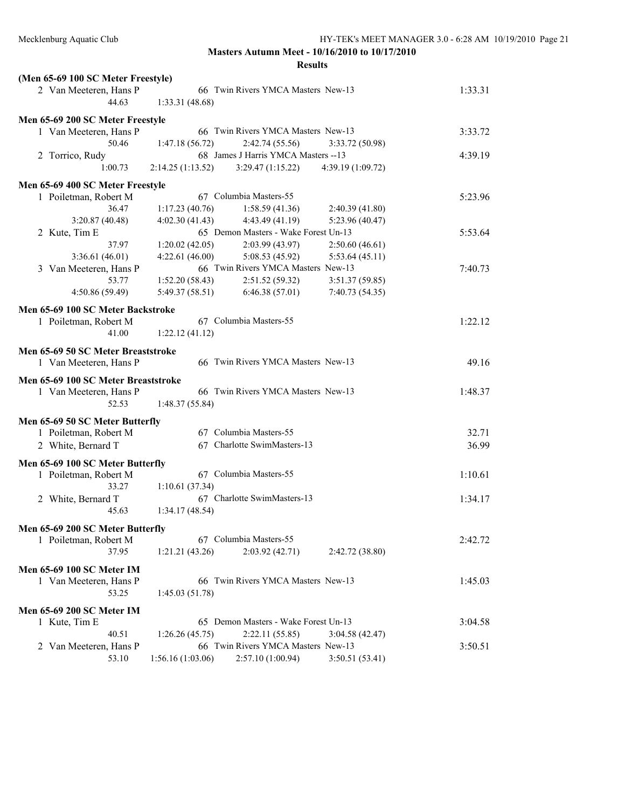| (Men 65-69 100 SC Meter Freestyle)  |                                    |                                      |                   |         |
|-------------------------------------|------------------------------------|--------------------------------------|-------------------|---------|
| 2 Van Meeteren, Hans P              | 66 Twin Rivers YMCA Masters New-13 |                                      |                   | 1:33.31 |
| 44.63                               | 1:33.31 (48.68)                    |                                      |                   |         |
| Men 65-69 200 SC Meter Freestyle    |                                    |                                      |                   |         |
| 1 Van Meeteren, Hans P              |                                    | 66 Twin Rivers YMCA Masters New-13   |                   | 3:33.72 |
| 50.46                               | 1:47.18 (56.72)                    | 2:42.74 (55.56)                      | 3:33.72 (50.98)   |         |
| 2 Torrico, Rudy                     |                                    | 68 James J Harris YMCA Masters -- 13 |                   | 4:39.19 |
| 1:00.73                             | 2:14.25(1:13.52)                   | 3:29.47(1:15.22)                     | 4:39.19 (1:09.72) |         |
| Men 65-69 400 SC Meter Freestyle    |                                    |                                      |                   |         |
| 1 Poiletman, Robert M               |                                    | 67 Columbia Masters-55               |                   | 5:23.96 |
| 36.47                               | 1:17.23(40.76)                     | 1:58.59(41.36)                       | 2:40.39 (41.80)   |         |
| 3:20.87(40.48)                      | 4:02.30(41.43)                     | 4:43.49 (41.19)                      | 5:23.96 (40.47)   |         |
| 2 Kute, Tim E                       |                                    | 65 Demon Masters - Wake Forest Un-13 |                   | 5:53.64 |
| 37.97                               | 1:20.02(42.05)                     | 2:03.99(43.97)                       | 2:50.60(46.61)    |         |
| 3:36.61(46.01)                      | 4:22.61(46.00)                     | 5:08.53 (45.92)                      | 5:53.64(45.11)    |         |
| 3 Van Meeteren, Hans P              |                                    | 66 Twin Rivers YMCA Masters New-13   |                   | 7:40.73 |
| 53.77                               | 1:52.20(58.43)                     | 2:51.52(59.32)                       | 3:51.37(59.85)    |         |
| 4:50.86 (59.49)                     | 5:49.37(58.51)                     | 6:46.38(57.01)                       | 7:40.73 (54.35)   |         |
|                                     |                                    |                                      |                   |         |
| Men 65-69 100 SC Meter Backstroke   |                                    |                                      |                   |         |
| 1 Poiletman, Robert M               |                                    | 67 Columbia Masters-55               |                   | 1:22.12 |
| 41.00                               | 1:22.12(41.12)                     |                                      |                   |         |
| Men 65-69 50 SC Meter Breaststroke  |                                    |                                      |                   |         |
| 1 Van Meeteren, Hans P              |                                    | 66 Twin Rivers YMCA Masters New-13   |                   | 49.16   |
| Men 65-69 100 SC Meter Breaststroke |                                    |                                      |                   |         |
| 1 Van Meeteren, Hans P              |                                    | 66 Twin Rivers YMCA Masters New-13   |                   | 1:48.37 |
| 52.53                               | 1:48.37(55.84)                     |                                      |                   |         |
|                                     |                                    |                                      |                   |         |
| Men 65-69 50 SC Meter Butterfly     |                                    |                                      |                   |         |
| 1 Poiletman, Robert M               |                                    | 67 Columbia Masters-55               |                   | 32.71   |
| 2 White, Bernard T                  |                                    | 67 Charlotte SwimMasters-13          |                   | 36.99   |
| Men 65-69 100 SC Meter Butterfly    |                                    |                                      |                   |         |
| 1 Poiletman, Robert M               |                                    | 67 Columbia Masters-55               |                   | 1:10.61 |
| 33.27                               | 1:10.61(37.34)                     |                                      |                   |         |
| 2 White, Bernard T                  |                                    | 67 Charlotte SwimMasters-13          |                   | 1:34.17 |
| 45.63                               | 1:34.17(48.54)                     |                                      |                   |         |
|                                     |                                    |                                      |                   |         |
| Men 65-69 200 SC Meter Butterfly    |                                    | 67 Columbia Masters-55               |                   |         |
| 1 Poiletman, Robert M               |                                    |                                      |                   | 2:42.72 |
| 37.95                               | 1:21.21(43.26)                     | 2:03.92(42.71)                       | 2:42.72 (38.80)   |         |
| <b>Men 65-69 100 SC Meter IM</b>    |                                    |                                      |                   |         |
| 1 Van Meeteren, Hans P              |                                    | 66 Twin Rivers YMCA Masters New-13   |                   | 1:45.03 |
| 53.25                               | 1:45.03(51.78)                     |                                      |                   |         |
| Men 65-69 200 SC Meter IM           |                                    |                                      |                   |         |
| 1 Kute, Tim E                       |                                    | 65 Demon Masters - Wake Forest Un-13 |                   | 3:04.58 |
| 40.51                               | 1:26.26(45.75)                     | 2:22.11(55.85)                       | 3:04.58(42.47)    |         |
| Van Meeteren, Hans P<br>2           |                                    | 66 Twin Rivers YMCA Masters New-13   |                   | 3:50.51 |
| 53.10                               | 1:56.16(1:03.06)                   | 2:57.10 (1:00.94)                    | 3:50.51(53.41)    |         |
|                                     |                                    |                                      |                   |         |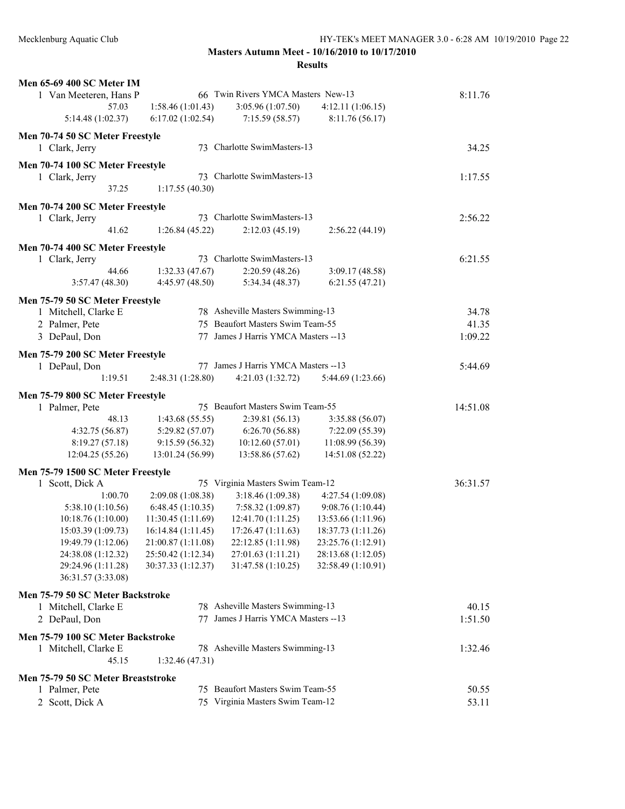| Men 65-69 400 SC Meter IM          |                    |                                      |                    |          |
|------------------------------------|--------------------|--------------------------------------|--------------------|----------|
| 1 Van Meeteren, Hans P             |                    | 66 Twin Rivers YMCA Masters New-13   |                    | 8:11.76  |
| 57.03                              | 1:58.46(1:01.43)   | 3:05.96 (1:07.50)                    | 4:12.11(1:06.15)   |          |
| 5:14.48 (1:02.37)                  | 6:17.02(1:02.54)   | 7:15.59(58.57)                       | 8:11.76(56.17)     |          |
| Men 70-74 50 SC Meter Freestyle    |                    |                                      |                    |          |
| 1 Clark, Jerry                     |                    | 73 Charlotte SwimMasters-13          |                    | 34.25    |
|                                    |                    |                                      |                    |          |
| Men 70-74 100 SC Meter Freestyle   |                    |                                      |                    |          |
| 1 Clark, Jerry                     |                    | 73 Charlotte SwimMasters-13          |                    | 1:17.55  |
| 37.25                              | 1:17.55(40.30)     |                                      |                    |          |
| Men 70-74 200 SC Meter Freestyle   |                    |                                      |                    |          |
| 1 Clark, Jerry                     |                    | 73 Charlotte SwimMasters-13          |                    | 2:56.22  |
| 41.62                              | 1:26.84(45.22)     | 2:12.03(45.19)                       | 2:56.22(44.19)     |          |
|                                    |                    |                                      |                    |          |
| Men 70-74 400 SC Meter Freestyle   |                    |                                      |                    |          |
| 1 Clark, Jerry                     |                    | 73 Charlotte SwimMasters-13          |                    | 6:21.55  |
| 44.66                              | 1:32.33(47.67)     | 2:20.59(48.26)                       | 3:09.17(48.58)     |          |
| 3:57.47(48.30)                     | 4:45.97(48.50)     | 5:34.34(48.37)                       | 6:21.55(47.21)     |          |
| Men 75-79 50 SC Meter Freestyle    |                    |                                      |                    |          |
| 1 Mitchell, Clarke E               |                    | 78 Asheville Masters Swimming-13     |                    | 34.78    |
| 2 Palmer, Pete                     |                    | 75 Beaufort Masters Swim Team-55     |                    | 41.35    |
| 3 DePaul, Don                      |                    | 77 James J Harris YMCA Masters -- 13 |                    | 1:09.22  |
|                                    |                    |                                      |                    |          |
| Men 75-79 200 SC Meter Freestyle   |                    |                                      |                    |          |
| 1 DePaul, Don                      |                    | 77 James J Harris YMCA Masters -- 13 |                    | 5:44.69  |
| 1:19.51                            | 2:48.31 (1:28.80)  | 4:21.03 (1:32.72)                    | 5:44.69 (1:23.66)  |          |
| Men 75-79 800 SC Meter Freestyle   |                    |                                      |                    |          |
| 1 Palmer, Pete                     |                    | 75 Beaufort Masters Swim Team-55     |                    | 14:51.08 |
| 48.13                              | 1:43.68(55.55)     | 2:39.81 (56.13)                      | 3:35.88 (56.07)    |          |
| 4:32.75 (56.87)                    | 5:29.82 (57.07)    | 6:26.70(56.88)                       | 7:22.09 (55.39)    |          |
| 8:19.27(57.18)                     | 9:15.59(56.32)     | 10:12.60(57.01)                      | 11:08.99(56.39)    |          |
| 12:04.25 (55.26)                   | 13:01.24 (56.99)   | 13:58.86 (57.62)                     | 14:51.08 (52.22)   |          |
| Men 75-79 1500 SC Meter Freestyle  |                    |                                      |                    |          |
| 1 Scott, Dick A                    |                    | 75 Virginia Masters Swim Team-12     |                    | 36:31.57 |
| 1:00.70                            | 2:09.08 (1:08.38)  | 3:18.46 (1:09.38)                    | 4:27.54 (1:09.08)  |          |
| 5:38.10 (1:10.56)                  | 6:48.45(1:10.35)   | 7:58.32 (1:09.87)                    | 9:08.76 (1:10.44)  |          |
| 10:18.76 (1:10.00)                 | 11:30.45 (1:11.69) | 12:41.70 (1:11.25)                   | 13:53.66 (1:11.96) |          |
| 15:03.39 (1:09.73)                 | 16:14.84 (1:11.45) | 17:26.47(1:11.63)                    | 18:37.73 (1:11.26) |          |
| 19:49.79 (1:12.06)                 | 21:00.87 (1:11.08) | 22:12.85 (1:11.98)                   | 23:25.76 (1:12.91) |          |
| 24:38.08 (1:12.32)                 | 25:50.42 (1:12.34) | 27:01.63 (1:11.21)                   | 28:13.68 (1:12.05) |          |
| 29:24.96 (1:11.28)                 | 30:37.33 (1:12.37) | 31:47.58 (1:10.25)                   | 32:58.49 (1:10.91) |          |
| 36:31.57 (3:33.08)                 |                    |                                      |                    |          |
|                                    |                    |                                      |                    |          |
| Men 75-79 50 SC Meter Backstroke   |                    |                                      |                    |          |
| 1 Mitchell, Clarke E               |                    | 78 Asheville Masters Swimming-13     |                    | 40.15    |
| 2 DePaul, Don                      |                    | 77 James J Harris YMCA Masters -- 13 |                    | 1:51.50  |
| Men 75-79 100 SC Meter Backstroke  |                    |                                      |                    |          |
| 1 Mitchell, Clarke E               |                    | 78 Asheville Masters Swimming-13     |                    | 1:32.46  |
| 45.15                              | 1:32.46(47.31)     |                                      |                    |          |
|                                    |                    |                                      |                    |          |
| Men 75-79 50 SC Meter Breaststroke |                    |                                      |                    |          |
| 1 Palmer, Pete                     |                    | 75 Beaufort Masters Swim Team-55     |                    | 50.55    |
| 2 Scott, Dick A                    |                    | 75 Virginia Masters Swim Team-12     |                    | 53.11    |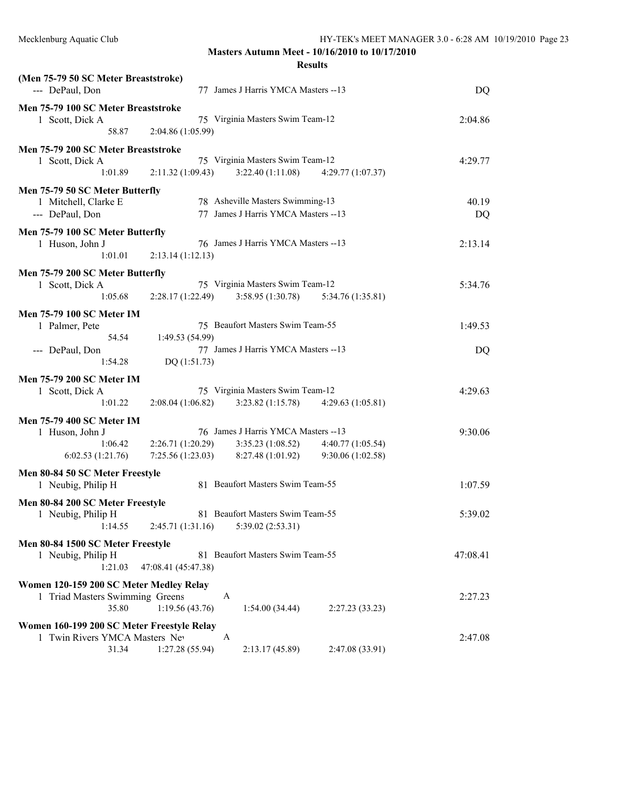| --- DePaul, Don                                                                       | (Men 75-79 50 SC Meter Breaststroke)<br>77 James J Harris YMCA Masters --13 |                                                                              |                                       |             |
|---------------------------------------------------------------------------------------|-----------------------------------------------------------------------------|------------------------------------------------------------------------------|---------------------------------------|-------------|
| Men 75-79 100 SC Meter Breaststroke<br>1 Scott, Dick A<br>58.87                       | 2:04.86(1:05.99)                                                            | 75 Virginia Masters Swim Team-12                                             |                                       | 2:04.86     |
| Men 75-79 200 SC Meter Breaststroke<br>1 Scott, Dick A<br>1:01.89                     | 2:11.32(1:09.43)                                                            | 75 Virginia Masters Swim Team-12<br>3:22.40(1:11.08)                         | 4:29.77(1:07.37)                      | 4:29.77     |
| Men 75-79 50 SC Meter Butterfly<br>1 Mitchell, Clarke E<br>--- DePaul, Don            |                                                                             | 78 Asheville Masters Swimming-13<br>77 James J Harris YMCA Masters -- 13     |                                       | 40.19<br>DQ |
| Men 75-79 100 SC Meter Butterfly<br>1 Huson, John J<br>1:01.01                        | 2:13.14(1:12.13)                                                            | 76 James J Harris YMCA Masters --13                                          |                                       | 2:13.14     |
| Men 75-79 200 SC Meter Butterfly<br>1 Scott, Dick A<br>1:05.68                        | 2:28.17(1:22.49)                                                            | 75 Virginia Masters Swim Team-12<br>3:58.95(1:30.78)                         | 5:34.76 (1:35.81)                     | 5:34.76     |
| <b>Men 75-79 100 SC Meter IM</b><br>1 Palmer, Pete<br>54.54                           | 1:49.53(54.99)                                                              | 75 Beaufort Masters Swim Team-55                                             |                                       | 1:49.53     |
| --- DePaul, Don<br>1:54.28                                                            | DQ (1:51.73)                                                                | 77 James J Harris YMCA Masters --13                                          |                                       | DQ          |
| <b>Men 75-79 200 SC Meter IM</b><br>1 Scott, Dick A<br>1:01.22                        | 2:08.04(1:06.82)                                                            | 75 Virginia Masters Swim Team-12<br>3:23.82(1:15.78)                         | 4:29.63(1:05.81)                      | 4:29.63     |
| Men 75-79 400 SC Meter IM<br>1 Huson, John J<br>1:06.42<br>6:02.53(1:21.76)           | 2:26.71(1:20.29)<br>7:25.56(1:23.03)                                        | 76 James J Harris YMCA Masters -- 13<br>3:35.23(1:08.52)<br>8:27.48(1:01.92) | 4:40.77 (1:05.54)<br>9:30.06(1:02.58) | 9:30.06     |
| Men 80-84 50 SC Meter Freestyle<br>1 Neubig, Philip H                                 |                                                                             | 81 Beaufort Masters Swim Team-55                                             |                                       | 1:07.59     |
| Men 80-84 200 SC Meter Freestyle<br>1 Neubig, Philip H<br>1:14.55                     | 2:45.71(1:31.16)                                                            | 81 Beaufort Masters Swim Team-55<br>5:39.02 (2:53.31)                        |                                       | 5:39.02     |
| Men 80-84 1500 SC Meter Freestyle<br>1 Neubig, Philip H<br>1:21.03                    | 47:08.41 (45:47.38)                                                         | 81 Beaufort Masters Swim Team-55                                             |                                       | 47:08.41    |
| Women 120-159 200 SC Meter Medley Relay<br>1 Triad Masters Swimming Greens<br>35.80   | 1:19.56(43.76)                                                              | A<br>1:54.00(34.44)                                                          | 2:27.23(33.23)                        | 2:27.23     |
| Women 160-199 200 SC Meter Freestyle Relay<br>1 Twin Rivers YMCA Masters Nev<br>31.34 | 1:27.28 (55.94)                                                             | A<br>2:13.17(45.89)                                                          | 2:47.08 (33.91)                       | 2:47.08     |